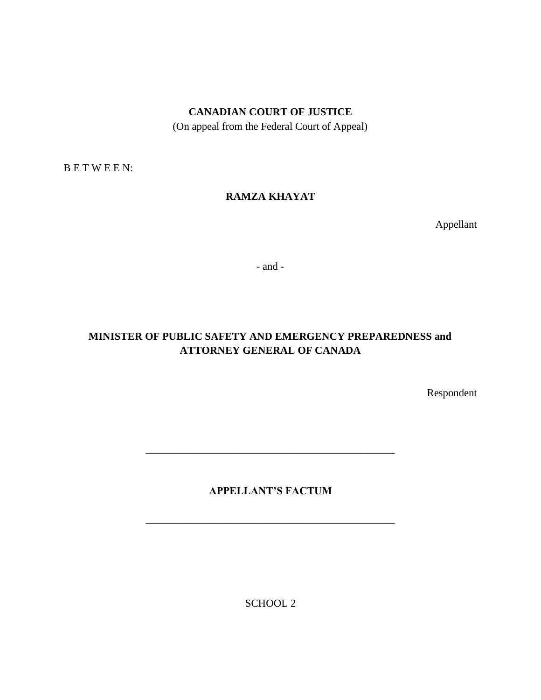## **CANADIAN COURT OF JUSTICE**

(On appeal from the Federal Court of Appeal)

B E T W E E N:

# **RAMZA KHAYAT**

Appellant

- and -

# **MINISTER OF PUBLIC SAFETY AND EMERGENCY PREPAREDNESS and ATTORNEY GENERAL OF CANADA**

Respondent

# **APPELLANT'S FACTUM**

\_\_\_\_\_\_\_\_\_\_\_\_\_\_\_\_\_\_\_\_\_\_\_\_\_\_\_\_\_\_\_\_\_\_\_\_\_\_\_\_\_\_\_\_\_\_\_

\_\_\_\_\_\_\_\_\_\_\_\_\_\_\_\_\_\_\_\_\_\_\_\_\_\_\_\_\_\_\_\_\_\_\_\_\_\_\_\_\_\_\_\_\_\_\_

SCHOOL 2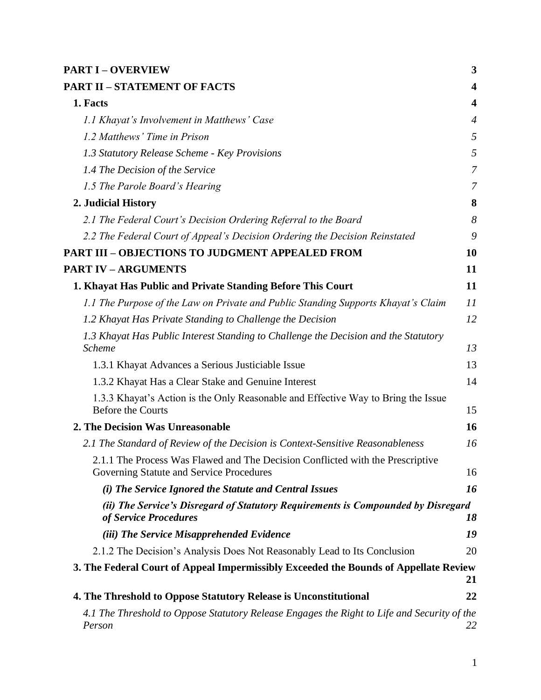| <b>PART I - OVERVIEW</b>                                                                                                   | 3                       |
|----------------------------------------------------------------------------------------------------------------------------|-------------------------|
| <b>PART II - STATEMENT OF FACTS</b>                                                                                        | $\overline{\mathbf{4}}$ |
| 1. Facts                                                                                                                   | $\overline{\mathbf{4}}$ |
| 1.1 Khayat's Involvement in Matthews' Case                                                                                 | $\overline{4}$          |
| 1.2 Matthews' Time in Prison                                                                                               | 5                       |
| 1.3 Statutory Release Scheme - Key Provisions                                                                              | 5                       |
| 1.4 The Decision of the Service                                                                                            | $\overline{7}$          |
| 1.5 The Parole Board's Hearing                                                                                             | 7                       |
| 2. Judicial History                                                                                                        | 8                       |
| 2.1 The Federal Court's Decision Ordering Referral to the Board                                                            | 8                       |
| 2.2 The Federal Court of Appeal's Decision Ordering the Decision Reinstated                                                | 9                       |
| <b>PART III - OBJECTIONS TO JUDGMENT APPEALED FROM</b>                                                                     | 10                      |
| <b>PART IV - ARGUMENTS</b>                                                                                                 | 11                      |
| 1. Khayat Has Public and Private Standing Before This Court                                                                | 11                      |
| 1.1 The Purpose of the Law on Private and Public Standing Supports Khayat's Claim                                          | 11                      |
| 1.2 Khayat Has Private Standing to Challenge the Decision                                                                  | 12                      |
| 1.3 Khayat Has Public Interest Standing to Challenge the Decision and the Statutory<br><b>Scheme</b>                       | 13                      |
| 1.3.1 Khayat Advances a Serious Justiciable Issue                                                                          | 13                      |
| 1.3.2 Khayat Has a Clear Stake and Genuine Interest                                                                        | 14                      |
| 1.3.3 Khayat's Action is the Only Reasonable and Effective Way to Bring the Issue<br><b>Before the Courts</b>              | 15                      |
| 2. The Decision Was Unreasonable                                                                                           | 16                      |
| 2.1 The Standard of Review of the Decision is Context-Sensitive Reasonableness                                             | 16                      |
| 2.1.1 The Process Was Flawed and The Decision Conflicted with the Prescriptive<br>Governing Statute and Service Procedures | 16                      |
| (i) The Service Ignored the Statute and Central Issues                                                                     | 16                      |
| (ii) The Service's Disregard of Statutory Requirements is Compounded by Disregard<br>of Service Procedures                 | 18                      |
| (iii) The Service Misapprehended Evidence                                                                                  | 19                      |
| 2.1.2 The Decision's Analysis Does Not Reasonably Lead to Its Conclusion                                                   | 20                      |
| 3. The Federal Court of Appeal Impermissibly Exceeded the Bounds of Appellate Review                                       |                         |
|                                                                                                                            | 21                      |
| 4. The Threshold to Oppose Statutory Release is Unconstitutional                                                           | 22                      |
| 4.1 The Threshold to Oppose Statutory Release Engages the Right to Life and Security of the<br>Person                      | 22                      |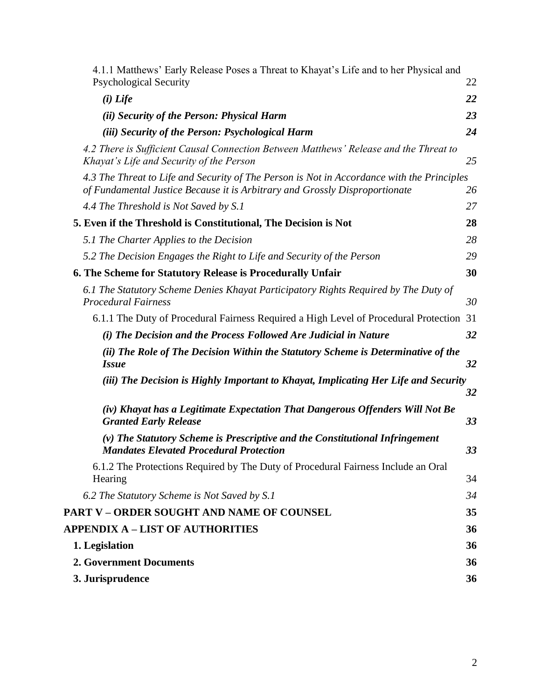| 4.1.1 Matthews' Early Release Poses a Threat to Khayat's Life and to her Physical and                                                                                     |    |
|---------------------------------------------------------------------------------------------------------------------------------------------------------------------------|----|
| <b>Psychological Security</b>                                                                                                                                             | 22 |
| $(i)$ Life                                                                                                                                                                | 22 |
| (ii) Security of the Person: Physical Harm                                                                                                                                | 23 |
| (iii) Security of the Person: Psychological Harm                                                                                                                          | 24 |
| 4.2 There is Sufficient Causal Connection Between Matthews' Release and the Threat to<br>Khayat's Life and Security of the Person                                         | 25 |
| 4.3 The Threat to Life and Security of The Person is Not in Accordance with the Principles<br>of Fundamental Justice Because it is Arbitrary and Grossly Disproportionate | 26 |
| 4.4 The Threshold is Not Saved by S.1                                                                                                                                     | 27 |
| 5. Even if the Threshold is Constitutional, The Decision is Not                                                                                                           | 28 |
| 5.1 The Charter Applies to the Decision                                                                                                                                   | 28 |
| 5.2 The Decision Engages the Right to Life and Security of the Person                                                                                                     | 29 |
| 6. The Scheme for Statutory Release is Procedurally Unfair                                                                                                                | 30 |
| 6.1 The Statutory Scheme Denies Khayat Participatory Rights Required by The Duty of<br><b>Procedural Fairness</b>                                                         | 30 |
| 6.1.1 The Duty of Procedural Fairness Required a High Level of Procedural Protection                                                                                      | 31 |
| (i) The Decision and the Process Followed Are Judicial in Nature                                                                                                          | 32 |
| (ii) The Role of The Decision Within the Statutory Scheme is Determinative of the<br><b>Issue</b>                                                                         | 32 |
| (iii) The Decision is Highly Important to Khayat, Implicating Her Life and Security                                                                                       |    |
|                                                                                                                                                                           | 32 |
| (iv) Khayat has a Legitimate Expectation That Dangerous Offenders Will Not Be<br><b>Granted Early Release</b>                                                             | 33 |
| (v) The Statutory Scheme is Prescriptive and the Constitutional Infringement<br><b>Mandates Elevated Procedural Protection</b>                                            | 33 |
| 6.1.2 The Protections Required by The Duty of Procedural Fairness Include an Oral<br>Hearing                                                                              | 34 |
| 6.2 The Statutory Scheme is Not Saved by S.1                                                                                                                              | 34 |
| PART V – ORDER SOUGHT AND NAME OF COUNSEL                                                                                                                                 | 35 |
| <b>APPENDIX A - LIST OF AUTHORITIES</b>                                                                                                                                   | 36 |
| 1. Legislation                                                                                                                                                            | 36 |
| <b>2. Government Documents</b>                                                                                                                                            | 36 |
| 3. Jurisprudence                                                                                                                                                          | 36 |
|                                                                                                                                                                           |    |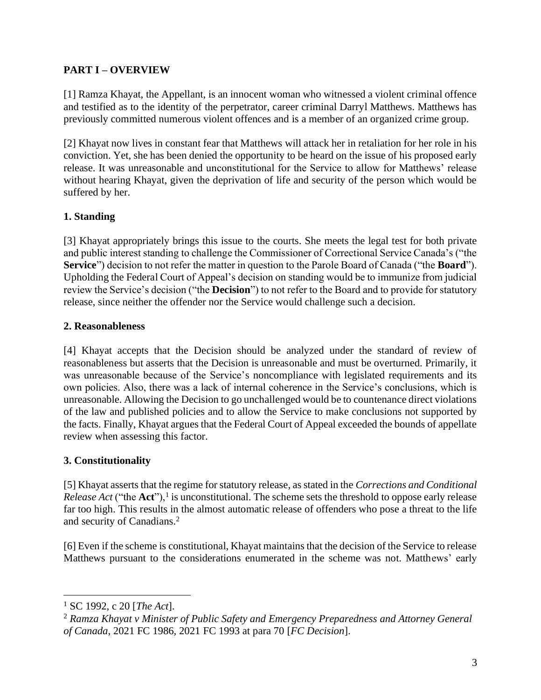# <span id="page-3-0"></span>**PART I – OVERVIEW**

[1] Ramza Khayat, the Appellant, is an innocent woman who witnessed a violent criminal offence and testified as to the identity of the perpetrator, career criminal Darryl Matthews. Matthews has previously committed numerous violent offences and is a member of an organized crime group.

[2] Khayat now lives in constant fear that Matthews will attack her in retaliation for her role in his conviction. Yet, she has been denied the opportunity to be heard on the issue of his proposed early release. It was unreasonable and unconstitutional for the Service to allow for Matthews' release without hearing Khayat, given the deprivation of life and security of the person which would be suffered by her.

# **1. Standing**

[3] Khayat appropriately brings this issue to the courts. She meets the legal test for both private and public interest standing to challenge the Commissioner of Correctional Service Canada's ("the **Service**") decision to not refer the matter in question to the Parole Board of Canada ("the **Board**"). Upholding the Federal Court of Appeal's decision on standing would be to immunize from judicial review the Service's decision ("the **Decision**") to not refer to the Board and to provide for statutory release, since neither the offender nor the Service would challenge such a decision.

## **2. Reasonableness**

[4] Khayat accepts that the Decision should be analyzed under the standard of review of reasonableness but asserts that the Decision is unreasonable and must be overturned. Primarily, it was unreasonable because of the Service's noncompliance with legislated requirements and its own policies. Also, there was a lack of internal coherence in the Service's conclusions, which is unreasonable. Allowing the Decision to go unchallenged would be to countenance direct violations of the law and published policies and to allow the Service to make conclusions not supported by the facts. Finally, Khayat argues that the Federal Court of Appeal exceeded the bounds of appellate review when assessing this factor.

# **3. Constitutionality**

[5] Khayat asserts that the regime for statutory release, as stated in the *Corrections and Conditional Release Act* ("the  $Act$ "),<sup>1</sup> is unconstitutional. The scheme sets the threshold to oppose early release far too high. This results in the almost automatic release of offenders who pose a threat to the life and security of Canadians.<sup>2</sup>

[6] Even if the scheme is constitutional, Khayat maintains that the decision of the Service to release Matthews pursuant to the considerations enumerated in the scheme was not. Matthews' early

<sup>1</sup> SC 1992, c 20 [*The Act*].

<sup>2</sup> *Ramza Khayat v Minister of Public Safety and Emergency Preparedness and Attorney General of Canada*, 2021 FC 1986, 2021 FC 1993 at para 70 [*FC Decision*].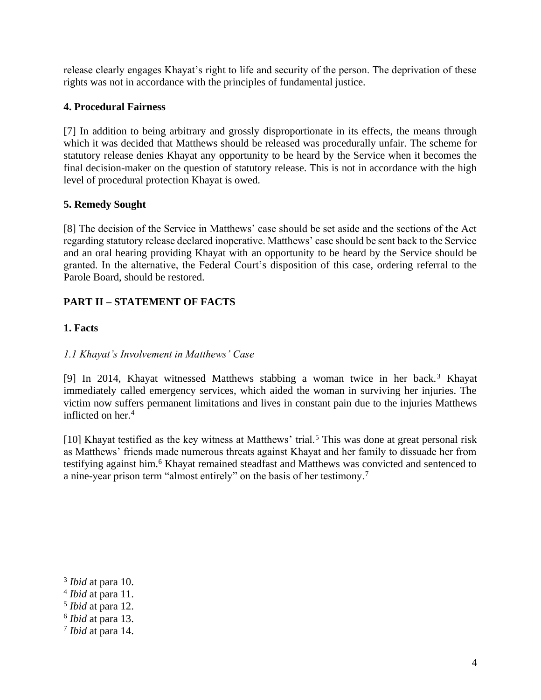release clearly engages Khayat's right to life and security of the person. The deprivation of these rights was not in accordance with the principles of fundamental justice.

# **4. Procedural Fairness**

[7] In addition to being arbitrary and grossly disproportionate in its effects, the means through which it was decided that Matthews should be released was procedurally unfair. The scheme for statutory release denies Khayat any opportunity to be heard by the Service when it becomes the final decision-maker on the question of statutory release. This is not in accordance with the high level of procedural protection Khayat is owed.

# **5. Remedy Sought**

[8] The decision of the Service in Matthews' case should be set aside and the sections of the Act regarding statutory release declared inoperative. Matthews' case should be sent back to the Service and an oral hearing providing Khayat with an opportunity to be heard by the Service should be granted. In the alternative, the Federal Court's disposition of this case, ordering referral to the Parole Board, should be restored.

# <span id="page-4-0"></span>**PART II – STATEMENT OF FACTS**

# <span id="page-4-1"></span>**1. Facts**

# <span id="page-4-2"></span>*1.1 Khayat's Involvement in Matthews' Case*

[9] In 2014, Khayat witnessed Matthews stabbing a woman twice in her back.<sup>3</sup> Khayat immediately called emergency services, which aided the woman in surviving her injuries. The victim now suffers permanent limitations and lives in constant pain due to the injuries Matthews inflicted on her.<sup>4</sup>

[10] Khayat testified as the key witness at Matthews' trial.<sup>5</sup> This was done at great personal risk as Matthews' friends made numerous threats against Khayat and her family to dissuade her from testifying against him.<sup>6</sup> Khayat remained steadfast and Matthews was convicted and sentenced to a nine-year prison term "almost entirely" on the basis of her testimony.<sup>7</sup>

<sup>3</sup> *Ibid* at para 10.

<sup>4</sup> *Ibid* at para 11.

<sup>5</sup> *Ibid* at para 12.

<sup>6</sup> *Ibid* at para 13.

<sup>7</sup> *Ibid* at para 14.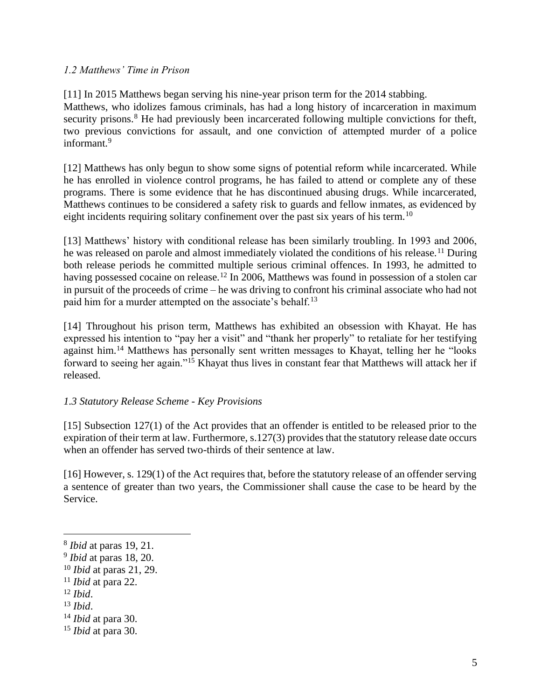## <span id="page-5-0"></span>*1.2 Matthews' Time in Prison*

[11] In 2015 Matthews began serving his nine-year prison term for the 2014 stabbing. Matthews, who idolizes famous criminals, has had a long history of incarceration in maximum security prisons.<sup>8</sup> He had previously been incarcerated following multiple convictions for theft, two previous convictions for assault, and one conviction of attempted murder of a police informant.<sup>9</sup>

[12] Matthews has only begun to show some signs of potential reform while incarcerated. While he has enrolled in violence control programs, he has failed to attend or complete any of these programs. There is some evidence that he has discontinued abusing drugs. While incarcerated, Matthews continues to be considered a safety risk to guards and fellow inmates, as evidenced by eight incidents requiring solitary confinement over the past six years of his term.<sup>10</sup>

[13] Matthews' history with conditional release has been similarly troubling. In 1993 and 2006, he was released on parole and almost immediately violated the conditions of his release.<sup>11</sup> During both release periods he committed multiple serious criminal offences. In 1993, he admitted to having possessed cocaine on release.<sup>12</sup> In 2006, Matthews was found in possession of a stolen car in pursuit of the proceeds of crime – he was driving to confront his criminal associate who had not paid him for a murder attempted on the associate's behalf.<sup>13</sup>

[14] Throughout his prison term, Matthews has exhibited an obsession with Khayat. He has expressed his intention to "pay her a visit" and "thank her properly" to retaliate for her testifying against him.<sup>14</sup> Matthews has personally sent written messages to Khayat, telling her he "looks forward to seeing her again."<sup>15</sup> Khayat thus lives in constant fear that Matthews will attack her if released.

## <span id="page-5-1"></span>*1.3 Statutory Release Scheme - Key Provisions*

[15] Subsection 127(1) of the Act provides that an offender is entitled to be released prior to the expiration of their term at law. Furthermore, s.127(3) provides that the statutory release date occurs when an offender has served two-thirds of their sentence at law.

[16] However, s. 129(1) of the Act requires that, before the statutory release of an offender serving a sentence of greater than two years, the Commissioner shall cause the case to be heard by the Service.

<sup>8</sup> *Ibid* at paras 19, 21.

<sup>9</sup> *Ibid* at paras 18, 20.

<sup>10</sup> *Ibid* at paras 21, 29.

<sup>11</sup> *Ibid* at para 22.

<sup>12</sup> *Ibid*.

<sup>13</sup> *Ibid*.

<sup>14</sup> *Ibid* at para 30.

<sup>15</sup> *Ibid* at para 30.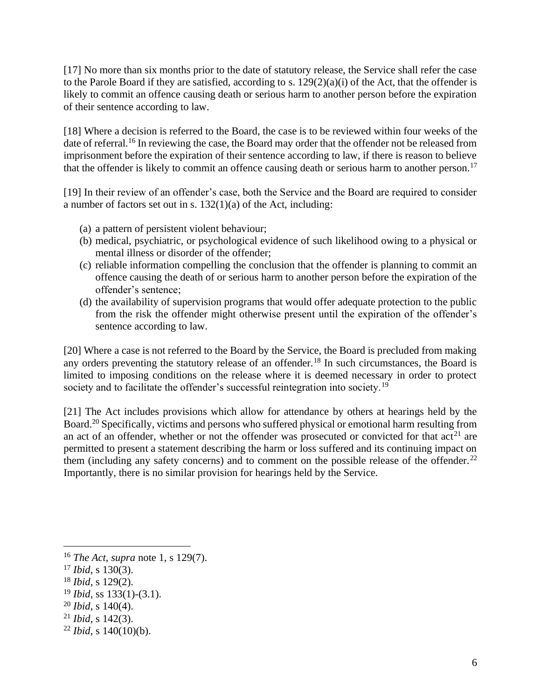[17] No more than six months prior to the date of statutory release, the Service shall refer the case to the Parole Board if they are satisfied, according to s. 129(2)(a)(i) of the Act, that the offender is likely to commit an offence causing death or serious harm to another person before the expiration of their sentence according to law.

[18] Where a decision is referred to the Board, the case is to be reviewed within four weeks of the date of referral.<sup>16</sup> In reviewing the case, the Board may order that the offender not be released from imprisonment before the expiration of their sentence according to law, if there is reason to believe that the offender is likely to commit an offence causing death or serious harm to another person.<sup>17</sup>

[19] In their review of an offender's case, both the Service and the Board are required to consider a number of factors set out in s. 132(1)(a) of the Act, including:

- (a) a pattern of persistent violent behaviour;
- (b) medical, psychiatric, or psychological evidence of such likelihood owing to a physical or mental illness or disorder of the offender;
- (c) reliable information compelling the conclusion that the offender is planning to commit an offence causing the death of or serious harm to another person before the expiration of the offender's sentence;
- (d) the availability of supervision programs that would offer adequate protection to the public from the risk the offender might otherwise present until the expiration of the offender's sentence according to law.

[20] Where a case is not referred to the Board by the Service, the Board is precluded from making any orders preventing the statutory release of an offender.<sup>18</sup> In such circumstances, the Board is limited to imposing conditions on the release where it is deemed necessary in order to protect society and to facilitate the offender's successful reintegration into society.<sup>19</sup>

[21] The Act includes provisions which allow for attendance by others at hearings held by the Board.<sup>20</sup> Specifically, victims and persons who suffered physical or emotional harm resulting from an act of an offender, whether or not the offender was prosecuted or convicted for that  $act^{21}$  are permitted to present a statement describing the harm or loss suffered and its continuing impact on them (including any safety concerns) and to comment on the possible release of the offender.<sup>22</sup> Importantly, there is no similar provision for hearings held by the Service.

<sup>16</sup> *The Act*, *supra* note 1, s 129(7).

<sup>17</sup> *Ibid*, s 130(3).

<sup>18</sup> *Ibid*, s 129(2).

<sup>19</sup> *Ibid*, ss 133(1)-(3.1).

<sup>20</sup> *Ibid*, s 140(4).

<sup>21</sup> *Ibid*, s 142(3).

 $22$  *Ibid*, s 140(10)(b).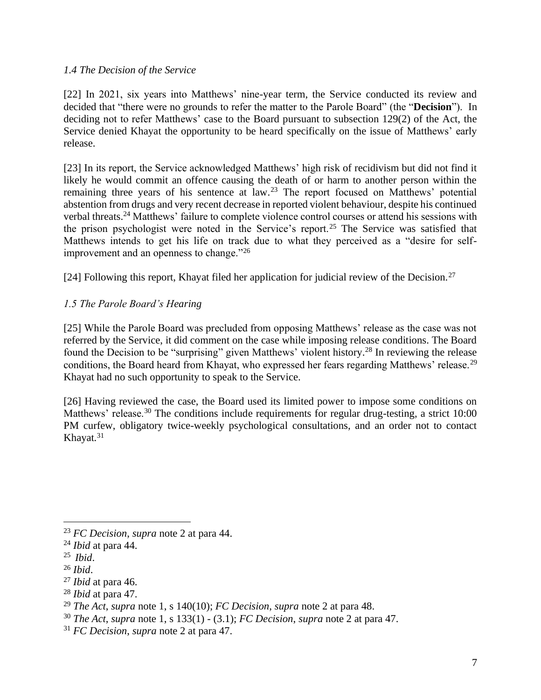## <span id="page-7-0"></span>*1.4 The Decision of the Service*

[22] In 2021, six years into Matthews' nine-year term, the Service conducted its review and decided that "there were no grounds to refer the matter to the Parole Board" (the "**Decision**"). In deciding not to refer Matthews' case to the Board pursuant to subsection 129(2) of the Act, the Service denied Khayat the opportunity to be heard specifically on the issue of Matthews' early release.

[23] In its report, the Service acknowledged Matthews' high risk of recidivism but did not find it likely he would commit an offence causing the death of or harm to another person within the remaining three years of his sentence at law.<sup>23</sup> The report focused on Matthews' potential abstention from drugs and very recent decrease in reported violent behaviour, despite his continued verbal threats.<sup>24</sup> Matthews' failure to complete violence control courses or attend his sessions with the prison psychologist were noted in the Service's report.<sup>25</sup> The Service was satisfied that Matthews intends to get his life on track due to what they perceived as a "desire for selfimprovement and an openness to change."<sup>26</sup>

[24] Following this report, Khayat filed her application for judicial review of the Decision.<sup>27</sup>

## <span id="page-7-1"></span>*1.5 The Parole Board's Hearing*

[25] While the Parole Board was precluded from opposing Matthews' release as the case was not referred by the Service, it did comment on the case while imposing release conditions. The Board found the Decision to be "surprising" given Matthews' violent history.<sup>28</sup> In reviewing the release conditions, the Board heard from Khayat, who expressed her fears regarding Matthews' release.<sup>29</sup> Khayat had no such opportunity to speak to the Service.

[26] Having reviewed the case, the Board used its limited power to impose some conditions on Matthews' release.<sup>30</sup> The conditions include requirements for regular drug-testing, a strict 10:00 PM curfew, obligatory twice-weekly psychological consultations, and an order not to contact Khayat.<sup>31</sup>

<sup>28</sup> *Ibid* at para 47.

<sup>23</sup> *FC Decision*, *supra* note 2 at para 44.

<sup>24</sup> *Ibid* at para 44.

<sup>25</sup> *Ibid*.

<sup>26</sup> *Ibid*.

<sup>27</sup> *Ibid* at para 46.

<sup>29</sup> *The Act*, *supra* note 1, s 140(10); *FC Decision*, *supra* note 2 at para 48.

<sup>30</sup> *The Act*, *supra* note 1, s 133(1) - (3.1); *FC Decision*, *supra* note 2 at para 47.

<sup>31</sup> *FC Decision*, *supra* note 2 at para 47.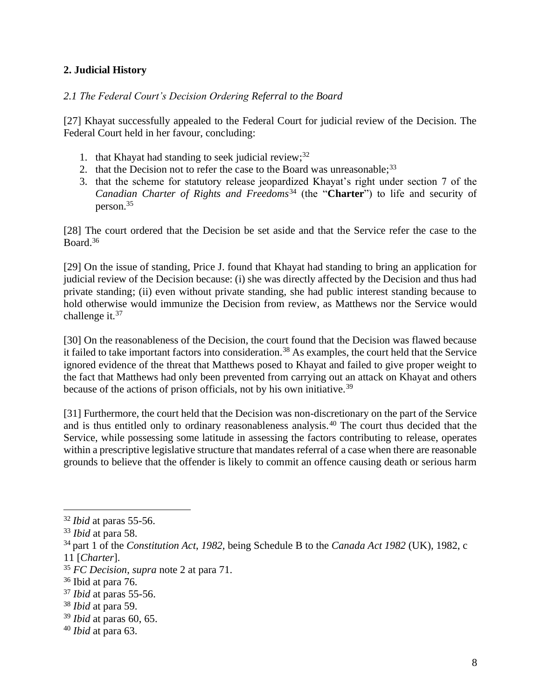# <span id="page-8-0"></span>**2. Judicial History**

# <span id="page-8-1"></span>*2.1 The Federal Court's Decision Ordering Referral to the Board*

[27] Khayat successfully appealed to the Federal Court for judicial review of the Decision. The Federal Court held in her favour, concluding:

- 1. that Khayat had standing to seek judicial review;  $32$
- 2. that the Decision not to refer the case to the Board was unreasonable;  $33$
- 3. that the scheme for statutory release jeopardized Khayat's right under section 7 of the *Canadian Charter of Rights and Freedoms*<sup>34</sup> (the "**Charter**") to life and security of person.<sup>35</sup>

[28] The court ordered that the Decision be set aside and that the Service refer the case to the Board.<sup>36</sup>

[29] On the issue of standing, Price J. found that Khayat had standing to bring an application for judicial review of the Decision because: (i) she was directly affected by the Decision and thus had private standing; (ii) even without private standing, she had public interest standing because to hold otherwise would immunize the Decision from review, as Matthews nor the Service would challenge it.<sup>37</sup>

[30] On the reasonableness of the Decision, the court found that the Decision was flawed because it failed to take important factors into consideration.<sup>38</sup> As examples, the court held that the Service ignored evidence of the threat that Matthews posed to Khayat and failed to give proper weight to the fact that Matthews had only been prevented from carrying out an attack on Khayat and others because of the actions of prison officials, not by his own initiative.<sup>39</sup>

[31] Furthermore, the court held that the Decision was non-discretionary on the part of the Service and is thus entitled only to ordinary reasonableness analysis.<sup>40</sup> The court thus decided that the Service, while possessing some latitude in assessing the factors contributing to release, operates within a prescriptive legislative structure that mandates referral of a case when there are reasonable grounds to believe that the offender is likely to commit an offence causing death or serious harm

<sup>39</sup> *Ibid* at paras 60, 65.

<sup>32</sup> *Ibid* at paras 55-56.

<sup>33</sup> *Ibid* at para 58.

<sup>34</sup> part 1 of the *Constitution Act*, *1982*, being Schedule B to the *Canada Act 1982* (UK), 1982, c

<sup>11 [</sup>*Charter*].

<sup>35</sup> *FC Decision*, *supra* note 2 at para 71.

<sup>36</sup> Ibid at para 76.

<sup>37</sup> *Ibid* at paras 55-56.

<sup>38</sup> *Ibid* at para 59.

<sup>40</sup> *Ibid* at para 63.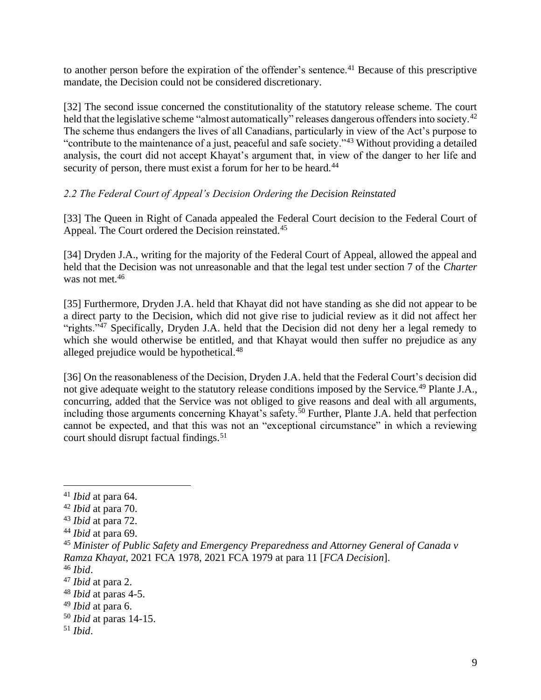to another person before the expiration of the offender's sentence.<sup>41</sup> Because of this prescriptive mandate, the Decision could not be considered discretionary.

[32] The second issue concerned the constitutionality of the statutory release scheme. The court held that the legislative scheme "almost automatically" releases dangerous offenders into society.<sup>42</sup> The scheme thus endangers the lives of all Canadians, particularly in view of the Act's purpose to "contribute to the maintenance of a just, peaceful and safe society."<sup>43</sup> Without providing a detailed analysis, the court did not accept Khayat's argument that, in view of the danger to her life and security of person, there must exist a forum for her to be heard.<sup>44</sup>

## <span id="page-9-0"></span>*2.2 The Federal Court of Appeal's Decision Ordering the Decision Reinstated*

[33] The Queen in Right of Canada appealed the Federal Court decision to the Federal Court of Appeal. The Court ordered the Decision reinstated.<sup>45</sup>

[34] Dryden J.A., writing for the majority of the Federal Court of Appeal, allowed the appeal and held that the Decision was not unreasonable and that the legal test under section 7 of the *Charter* was not met.<sup>46</sup>

[35] Furthermore, Dryden J.A. held that Khayat did not have standing as she did not appear to be a direct party to the Decision, which did not give rise to judicial review as it did not affect her "rights."<sup>47</sup> Specifically, Dryden J.A. held that the Decision did not deny her a legal remedy to which she would otherwise be entitled, and that Khayat would then suffer no prejudice as any alleged prejudice would be hypothetical.<sup>48</sup>

[36] On the reasonableness of the Decision, Dryden J.A. held that the Federal Court's decision did not give adequate weight to the statutory release conditions imposed by the Service.<sup>49</sup> Plante J.A., concurring, added that the Service was not obliged to give reasons and deal with all arguments, including those arguments concerning Khayat's safety.<sup>50</sup> Further, Plante J.A. held that perfection cannot be expected, and that this was not an "exceptional circumstance" in which a reviewing court should disrupt factual findings.<sup>51</sup>

<sup>41</sup> *Ibid* at para 64.

<sup>42</sup> *Ibid* at para 70.

<sup>43</sup> *Ibid* at para 72.

<sup>44</sup> *Ibid* at para 69.

<sup>45</sup> *Minister of Public Safety and Emergency Preparedness and Attorney General of Canada v Ramza Khayat*, 2021 FCA 1978, 2021 FCA 1979 at para 11 [*FCA Decision*].

<sup>46</sup> *Ibid*.

<sup>47</sup> *Ibid* at para 2.

<sup>48</sup> *Ibid* at paras 4-5.

<sup>49</sup> *Ibid* at para 6.

<sup>50</sup> *Ibid* at paras 14-15.

<sup>51</sup> *Ibid*.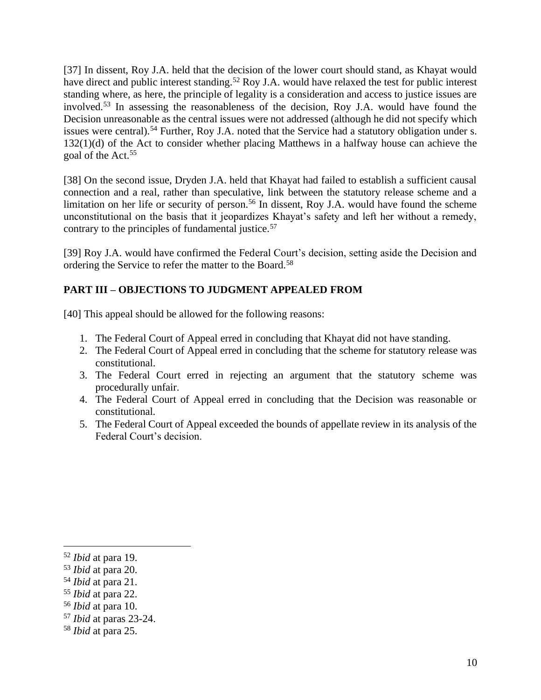[37] In dissent, Roy J.A. held that the decision of the lower court should stand, as Khayat would have direct and public interest standing.<sup>52</sup> Roy J.A. would have relaxed the test for public interest standing where, as here, the principle of legality is a consideration and access to justice issues are involved.<sup>53</sup> In assessing the reasonableness of the decision, Roy J.A. would have found the Decision unreasonable as the central issues were not addressed (although he did not specify which issues were central).<sup>54</sup> Further, Roy J.A. noted that the Service had a statutory obligation under s. 132(1)(d) of the Act to consider whether placing Matthews in a halfway house can achieve the goal of the Act.<sup>55</sup>

[38] On the second issue, Dryden J.A. held that Khayat had failed to establish a sufficient causal connection and a real, rather than speculative, link between the statutory release scheme and a limitation on her life or security of person.<sup>56</sup> In dissent, Roy J.A. would have found the scheme unconstitutional on the basis that it jeopardizes Khayat's safety and left her without a remedy, contrary to the principles of fundamental justice.<sup>57</sup>

[39] Roy J.A. would have confirmed the Federal Court's decision, setting aside the Decision and ordering the Service to refer the matter to the Board.<sup>58</sup>

# <span id="page-10-0"></span>**PART III – OBJECTIONS TO JUDGMENT APPEALED FROM**

[40] This appeal should be allowed for the following reasons:

- 1. The Federal Court of Appeal erred in concluding that Khayat did not have standing.
- 2. The Federal Court of Appeal erred in concluding that the scheme for statutory release was constitutional.
- 3. The Federal Court erred in rejecting an argument that the statutory scheme was procedurally unfair.
- 4. The Federal Court of Appeal erred in concluding that the Decision was reasonable or constitutional.
- 5. The Federal Court of Appeal exceeded the bounds of appellate review in its analysis of the Federal Court's decision.

<sup>52</sup> *Ibid* at para 19.

<sup>53</sup> *Ibid* at para 20.

<sup>54</sup> *Ibid* at para 21.

<sup>55</sup> *Ibid* at para 22.

<sup>56</sup> *Ibid* at para 10.

<sup>57</sup> *Ibid* at paras 23-24.

<sup>58</sup> *Ibid* at para 25.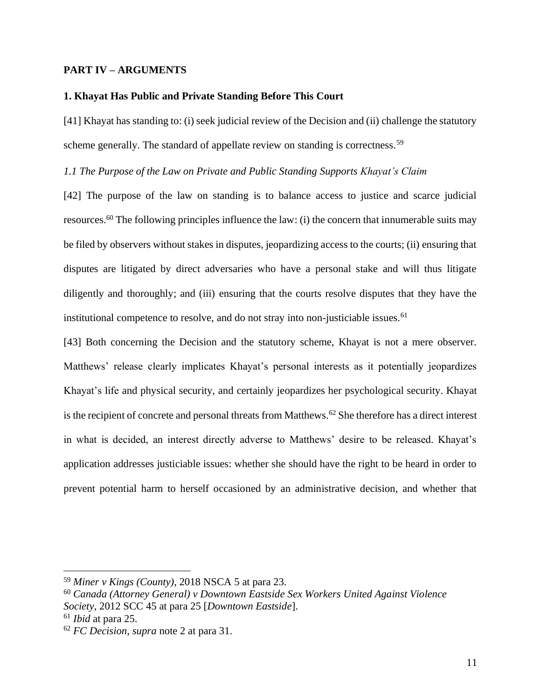## <span id="page-11-0"></span>**PART IV – ARGUMENTS**

### <span id="page-11-1"></span>**1. Khayat Has Public and Private Standing Before This Court**

[41] Khayat has standing to: (i) seek judicial review of the Decision and (ii) challenge the statutory scheme generally. The standard of appellate review on standing is correctness.<sup>59</sup>

<span id="page-11-2"></span>*1.1 The Purpose of the Law on Private and Public Standing Supports Khayat's Claim* 

[42] The purpose of the law on standing is to balance access to justice and scarce judicial resources.<sup>60</sup> The following principles influence the law: (i) the concern that innumerable suits may be filed by observers without stakes in disputes, jeopardizing access to the courts; (ii) ensuring that disputes are litigated by direct adversaries who have a personal stake and will thus litigate diligently and thoroughly; and (iii) ensuring that the courts resolve disputes that they have the institutional competence to resolve, and do not stray into non-justiciable issues.<sup>61</sup>

[43] Both concerning the Decision and the statutory scheme, Khayat is not a mere observer. Matthews' release clearly implicates Khayat's personal interests as it potentially jeopardizes Khayat's life and physical security, and certainly jeopardizes her psychological security. Khayat is the recipient of concrete and personal threats from Matthews.<sup>62</sup> She therefore has a direct interest in what is decided, an interest directly adverse to Matthews' desire to be released. Khayat's application addresses justiciable issues: whether she should have the right to be heard in order to prevent potential harm to herself occasioned by an administrative decision, and whether that

<sup>59</sup> *Miner v Kings (County)*, 2018 NSCA 5 at para 23.

<sup>60</sup> *Canada (Attorney General) v Downtown Eastside Sex Workers United Against Violence Society*, 2012 SCC 45 at para 25 [*Downtown Eastside*].

<sup>61</sup> *Ibid* at para 25.

<sup>62</sup> *FC Decision*, *supra* note 2 at para 31.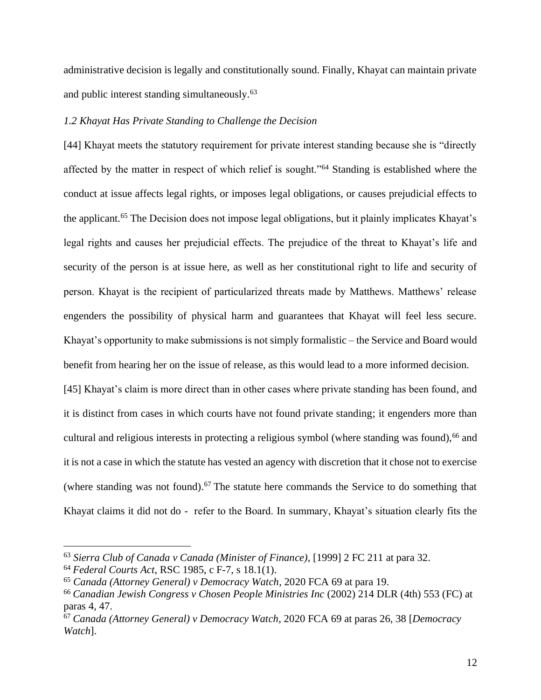administrative decision is legally and constitutionally sound. Finally, Khayat can maintain private and public interest standing simultaneously.<sup>63</sup>

## <span id="page-12-0"></span>*1.2 Khayat Has Private Standing to Challenge the Decision*

[44] Khayat meets the statutory requirement for private interest standing because she is "directly affected by the matter in respect of which relief is sought."<sup>64</sup> Standing is established where the conduct at issue affects legal rights, or imposes legal obligations, or causes prejudicial effects to the applicant.<sup>65</sup> The Decision does not impose legal obligations, but it plainly implicates Khayat's legal rights and causes her prejudicial effects. The prejudice of the threat to Khayat's life and security of the person is at issue here, as well as her constitutional right to life and security of person. Khayat is the recipient of particularized threats made by Matthews. Matthews' release engenders the possibility of physical harm and guarantees that Khayat will feel less secure. Khayat's opportunity to make submissions is not simply formalistic – the Service and Board would benefit from hearing her on the issue of release, as this would lead to a more informed decision.

[45] Khayat's claim is more direct than in other cases where private standing has been found, and it is distinct from cases in which courts have not found private standing; it engenders more than cultural and religious interests in protecting a religious symbol (where standing was found), <sup>66</sup> and it is not a case in which the statute has vested an agency with discretion that it chose not to exercise (where standing was not found). <sup>67</sup> The statute here commands the Service to do something that Khayat claims it did not do - refer to the Board. In summary, Khayat's situation clearly fits the

<sup>63</sup> *Sierra Club of Canada v Canada (Minister of Finance)*, [1999] 2 FC 211 at para 32.

<sup>64</sup> *Federal Courts Act*, RSC 1985, c F-7, s 18.1(1).

<sup>65</sup> *Canada (Attorney General) v Democracy Watch*, 2020 FCA 69 at para 19.

<sup>66</sup> *Canadian Jewish Congress v Chosen People Ministries Inc* (2002) 214 DLR (4th) 553 (FC) at paras 4, 47.

<sup>67</sup> *Canada (Attorney General) v Democracy Watch*, 2020 FCA 69 at paras 26, 38 [*Democracy Watch*].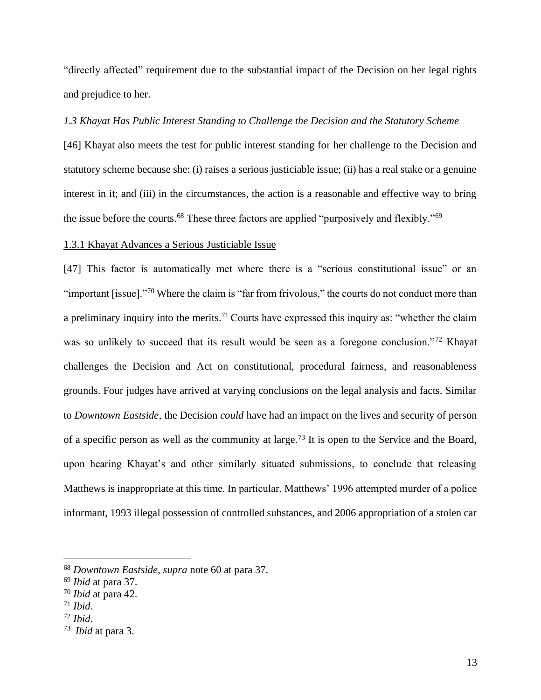"directly affected" requirement due to the substantial impact of the Decision on her legal rights and prejudice to her.

## <span id="page-13-0"></span>*1.3 Khayat Has Public Interest Standing to Challenge the Decision and the Statutory Scheme*

[46] Khayat also meets the test for public interest standing for her challenge to the Decision and statutory scheme because she: (i) raises a serious justiciable issue; (ii) has a real stake or a genuine interest in it; and (iii) in the circumstances, the action is a reasonable and effective way to bring the issue before the courts.<sup>68</sup> These three factors are applied "purposively and flexibly."<sup>69</sup>

### <span id="page-13-1"></span>1.3.1 Khayat Advances a Serious Justiciable Issue

[47] This factor is automatically met where there is a "serious constitutional issue" or an "important [issue]."<sup>70</sup> Where the claim is "far from frivolous," the courts do not conduct more than a preliminary inquiry into the merits.<sup>71</sup> Courts have expressed this inquiry as: "whether the claim was so unlikely to succeed that its result would be seen as a foregone conclusion."<sup>72</sup> Khayat challenges the Decision and Act on constitutional, procedural fairness, and reasonableness grounds. Four judges have arrived at varying conclusions on the legal analysis and facts. Similar to *Downtown Eastside*, the Decision *could* have had an impact on the lives and security of person of a specific person as well as the community at large.<sup>73</sup> It is open to the Service and the Board, upon hearing Khayat's and other similarly situated submissions, to conclude that releasing Matthews is inappropriate at this time. In particular, Matthews' 1996 attempted murder of a police informant, 1993 illegal possession of controlled substances, and 2006 appropriation of a stolen car

- <sup>71</sup> *Ibid*.
- <sup>72</sup> *Ibid*.

<sup>68</sup> *Downtown Eastside*, *supra* note 60 at para 37.

<sup>69</sup> *Ibid* at para 37.

<sup>70</sup> *Ibid* at para 42.

<sup>73</sup> *Ibid* at para 3.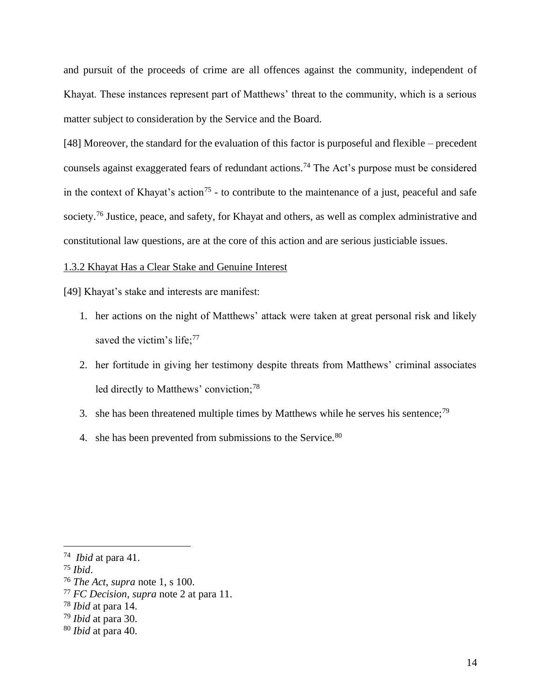and pursuit of the proceeds of crime are all offences against the community, independent of Khayat. These instances represent part of Matthews' threat to the community, which is a serious matter subject to consideration by the Service and the Board.

[48] Moreover, the standard for the evaluation of this factor is purposeful and flexible – precedent counsels against exaggerated fears of redundant actions.<sup>74</sup> The Act's purpose must be considered in the context of Khayat's action<sup>75</sup> - to contribute to the maintenance of a just, peaceful and safe society.<sup>76</sup> Justice, peace, and safety, for Khayat and others, as well as complex administrative and constitutional law questions, are at the core of this action and are serious justiciable issues.

### <span id="page-14-0"></span>1.3.2 Khayat Has a Clear Stake and Genuine Interest

[49] Khayat's stake and interests are manifest:

- 1. her actions on the night of Matthews' attack were taken at great personal risk and likely saved the victim's life;<sup>77</sup>
- 2. her fortitude in giving her testimony despite threats from Matthews' criminal associates led directly to Matthews' conviction;<sup>78</sup>
- 3. she has been threatened multiple times by Matthews while he serves his sentence;<sup>79</sup>
- 4. she has been prevented from submissions to the Service.<sup>80</sup>

<sup>79</sup> *Ibid* at para 30.

<sup>74</sup> *Ibid* at para 41.

<sup>75</sup> *Ibid*.

<sup>76</sup> *The Act*, *supra* note 1, s 100.

<sup>77</sup> *FC Decision*, *supra* note 2 at para 11.

<sup>78</sup> *Ibid* at para 14.

<sup>80</sup> *Ibid* at para 40.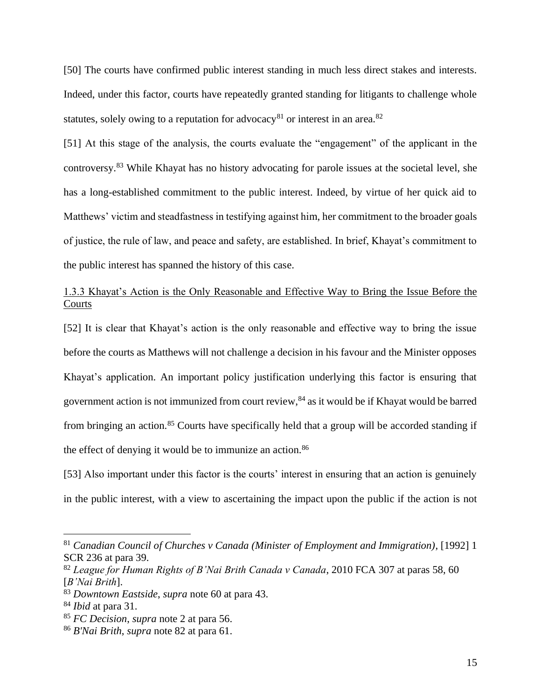[50] The courts have confirmed public interest standing in much less direct stakes and interests. Indeed, under this factor, courts have repeatedly granted standing for litigants to challenge whole statutes, solely owing to a reputation for advocacy<sup>81</sup> or interest in an area.<sup>82</sup>

[51] At this stage of the analysis, the courts evaluate the "engagement" of the applicant in the controversy.<sup>83</sup> While Khayat has no history advocating for parole issues at the societal level, she has a long-established commitment to the public interest. Indeed, by virtue of her quick aid to Matthews' victim and steadfastness in testifying against him, her commitment to the broader goals of justice, the rule of law, and peace and safety, are established. In brief, Khayat's commitment to the public interest has spanned the history of this case.

# <span id="page-15-0"></span>1.3.3 Khayat's Action is the Only Reasonable and Effective Way to Bring the Issue Before the Courts

[52] It is clear that Khayat's action is the only reasonable and effective way to bring the issue before the courts as Matthews will not challenge a decision in his favour and the Minister opposes Khayat's application. An important policy justification underlying this factor is ensuring that government action is not immunized from court review,<sup>84</sup> as it would be if Khayat would be barred from bringing an action.<sup>85</sup> Courts have specifically held that a group will be accorded standing if the effect of denying it would be to immunize an action.<sup>86</sup>

[53] Also important under this factor is the courts' interest in ensuring that an action is genuinely in the public interest, with a view to ascertaining the impact upon the public if the action is not

<sup>81</sup> *Canadian Council of Churches v Canada (Minister of Employment and Immigration)*, [1992] 1 SCR 236 at para 39.

<sup>82</sup> *League for Human Rights of B'Nai Brith Canada v Canada*, 2010 FCA 307 at paras 58, 60 [*B'Nai Brith*].

<sup>83</sup> *Downtown Eastside*, *supra* note 60 at para 43.

<sup>84</sup> *Ibid* at para 31.

<sup>85</sup> *FC Decision*, *supra* note 2 at para 56.

<sup>86</sup> *B'Nai Brith*, *supra* note 82 at para 61.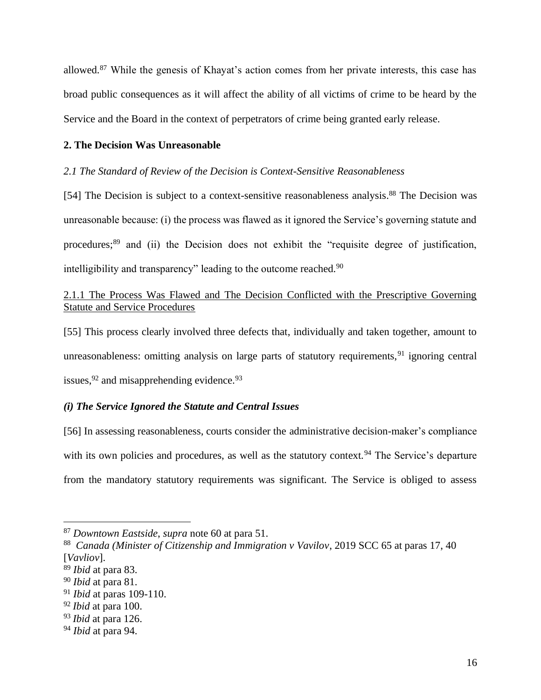allowed.<sup>87</sup> While the genesis of Khayat's action comes from her private interests, this case has broad public consequences as it will affect the ability of all victims of crime to be heard by the Service and the Board in the context of perpetrators of crime being granted early release.

## <span id="page-16-0"></span>**2. The Decision Was Unreasonable**

## <span id="page-16-1"></span>*2.1 The Standard of Review of the Decision is Context-Sensitive Reasonableness*

[54] The Decision is subject to a context-sensitive reasonableness analysis.<sup>88</sup> The Decision was unreasonable because: (i) the process was flawed as it ignored the Service's governing statute and procedures;<sup>89</sup> and (ii) the Decision does not exhibit the "requisite degree of justification, intelligibility and transparency" leading to the outcome reached.<sup>90</sup>

# <span id="page-16-2"></span>2.1.1 The Process Was Flawed and The Decision Conflicted with the Prescriptive Governing Statute and Service Procedures

[55] This process clearly involved three defects that, individually and taken together, amount to unreasonableness: omitting analysis on large parts of statutory requirements,  $91$  ignoring central issues,  $92$  and misapprehending evidence.  $93$ 

## <span id="page-16-3"></span>*(i) The Service Ignored the Statute and Central Issues*

[56] In assessing reasonableness, courts consider the administrative decision-maker's compliance with its own policies and procedures, as well as the statutory context.<sup>94</sup> The Service's departure from the mandatory statutory requirements was significant. The Service is obliged to assess

<sup>87</sup> *Downtown Eastside*, *supra* note 60 at para 51.

<sup>88</sup> *Canada (Minister of Citizenship and Immigration v Vavilov*, 2019 SCC 65 at paras 17, 40 [*Vavliov*].

<sup>89</sup> *Ibid* at para 83.

<sup>90</sup> *Ibid* at para 81.

<sup>91</sup> *Ibid* at paras 109-110.

<sup>92</sup> *Ibid* at para 100.

<sup>93</sup> *Ibid* at para 126.

<sup>94</sup> *Ibid* at para 94.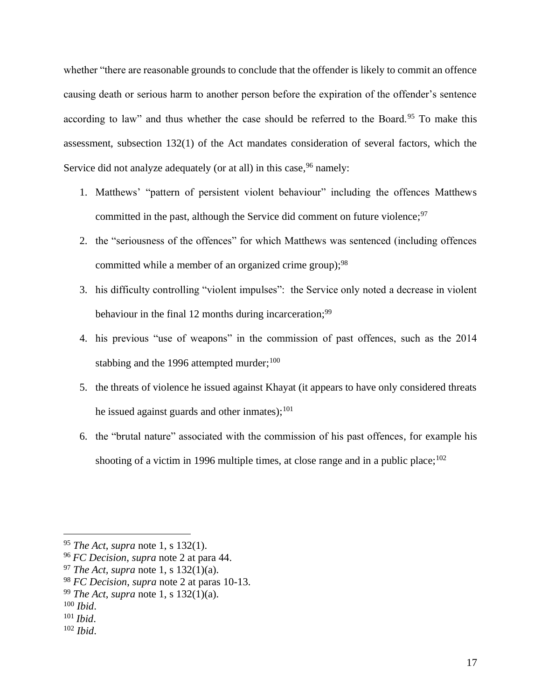whether "there are reasonable grounds to conclude that the offender is likely to commit an offence causing death or serious harm to another person before the expiration of the offender's sentence according to law" and thus whether the case should be referred to the Board.<sup>95</sup> To make this assessment, subsection 132(1) of the Act mandates consideration of several factors, which the Service did not analyze adequately (or at all) in this case, <sup>96</sup> namely:

- 1. Matthews' "pattern of persistent violent behaviour" including the offences Matthews committed in the past, although the Service did comment on future violence;<sup>97</sup>
- 2. the "seriousness of the offences" for which Matthews was sentenced (including offences committed while a member of an organized crime group);<sup>98</sup>
- 3. his difficulty controlling "violent impulses": the Service only noted a decrease in violent behaviour in the final 12 months during incarceration;<sup>99</sup>
- 4. his previous "use of weapons" in the commission of past offences, such as the 2014 stabbing and the 1996 attempted murder; $100$
- 5. the threats of violence he issued against Khayat (it appears to have only considered threats he issued against guards and other inmates); $^{101}$
- 6. the "brutal nature" associated with the commission of his past offences, for example his shooting of a victim in 1996 multiple times, at close range and in a public place:  $102$

<sup>100</sup> *Ibid*.

<sup>95</sup> *The Act*, *supra* note 1, s 132(1).

<sup>96</sup> *FC Decision*, *supra* note 2 at para 44.

<sup>97</sup> *The Act, supra* note 1, s 132(1)(a).

<sup>98</sup> *FC Decision*, *supra* note 2 at paras 10-13.

<sup>99</sup> *The Act*, *supra* note 1, s 132(1)(a).

<sup>101</sup> *Ibid*.

<sup>102</sup> *Ibid*.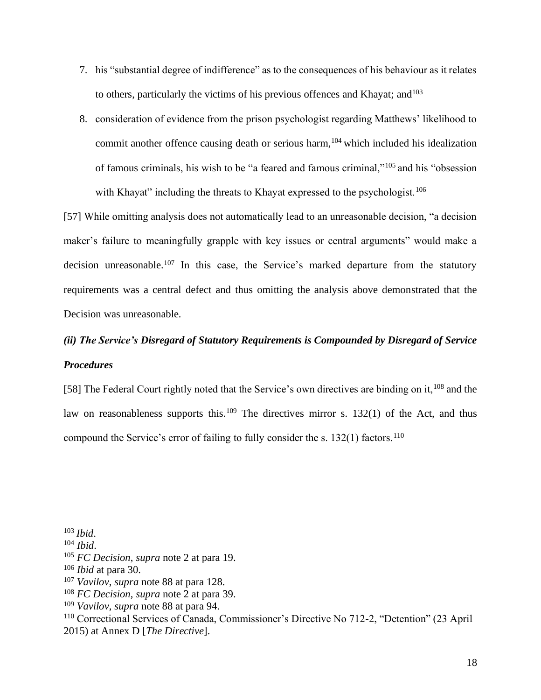- 7. his "substantial degree of indifference" as to the consequences of his behaviour as it relates to others, particularly the victims of his previous offences and Khayat; and  $103$
- 8. consideration of evidence from the prison psychologist regarding Matthews' likelihood to commit another offence causing death or serious harm,<sup>104</sup> which included his idealization of famous criminals, his wish to be "a feared and famous criminal,"<sup>105</sup> and his "obsession with Khayat" including the threats to Khayat expressed to the psychologist.<sup>106</sup>

[57] While omitting analysis does not automatically lead to an unreasonable decision, "a decision maker's failure to meaningfully grapple with key issues or central arguments" would make a decision unreasonable.<sup>107</sup> In this case, the Service's marked departure from the statutory requirements was a central defect and thus omitting the analysis above demonstrated that the Decision was unreasonable.

# <span id="page-18-0"></span>*(ii) The Service's Disregard of Statutory Requirements is Compounded by Disregard of Service Procedures*

[58] The Federal Court rightly noted that the Service's own directives are binding on it,<sup>108</sup> and the law on reasonableness supports this.<sup>109</sup> The directives mirror s. 132(1) of the Act, and thus compound the Service's error of failing to fully consider the s.  $132(1)$  factors.<sup>110</sup>

<sup>103</sup> *Ibid*.

<sup>104</sup> *Ibid*.

<sup>105</sup> *FC Decision*, *supra* note 2 at para 19.

<sup>106</sup> *Ibid* at para 30.

<sup>107</sup> *Vavilov*, *supra* note 88 at para 128.

<sup>108</sup> *FC Decision*, *supra* note 2 at para 39.

<sup>109</sup> *Vavilov*, *supra* note 88 at para 94.

<sup>110</sup> Correctional Services of Canada, Commissioner's Directive No 712-2, "Detention" (23 April 2015) at Annex D [*The Directive*].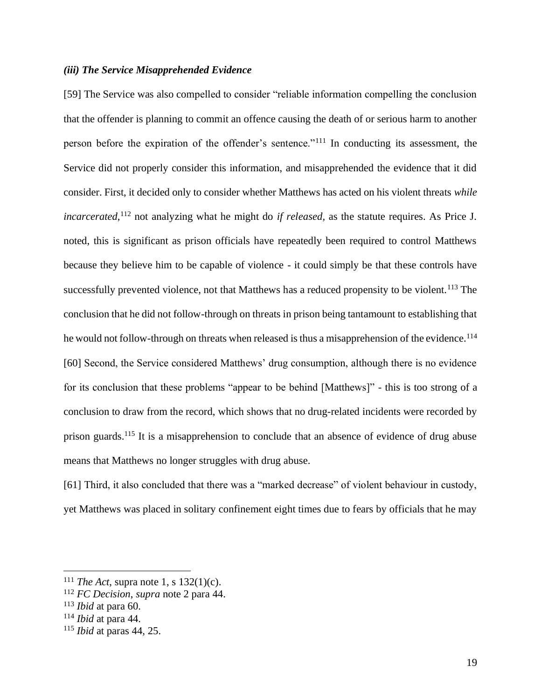## <span id="page-19-0"></span>*(iii) The Service Misapprehended Evidence*

[59] The Service was also compelled to consider "reliable information compelling the conclusion that the offender is planning to commit an offence causing the death of or serious harm to another person before the expiration of the offender's sentence."<sup>111</sup> In conducting its assessment, the Service did not properly consider this information, and misapprehended the evidence that it did consider. First, it decided only to consider whether Matthews has acted on his violent threats *while incarcerated*, <sup>112</sup> not analyzing what he might do *if released,* as the statute requires. As Price J. noted, this is significant as prison officials have repeatedly been required to control Matthews because they believe him to be capable of violence - it could simply be that these controls have successfully prevented violence, not that Matthews has a reduced propensity to be violent.<sup>113</sup> The conclusion that he did not follow-through on threats in prison being tantamount to establishing that he would not follow-through on threats when released is thus a misapprehension of the evidence.<sup>114</sup> [60] Second, the Service considered Matthews' drug consumption, although there is no evidence for its conclusion that these problems "appear to be behind [Matthews]" - this is too strong of a conclusion to draw from the record, which shows that no drug-related incidents were recorded by prison guards.<sup>115</sup> It is a misapprehension to conclude that an absence of evidence of drug abuse means that Matthews no longer struggles with drug abuse.

[61] Third, it also concluded that there was a "marked decrease" of violent behaviour in custody, yet Matthews was placed in solitary confinement eight times due to fears by officials that he may

<sup>111</sup> *The Act*, supra note 1, s 132(1)(c).

<sup>112</sup> *FC Decision*, *supra* note 2 para 44.

<sup>113</sup> *Ibid* at para 60.

<sup>114</sup> *Ibid* at para 44.

<sup>115</sup> *Ibid* at paras 44, 25.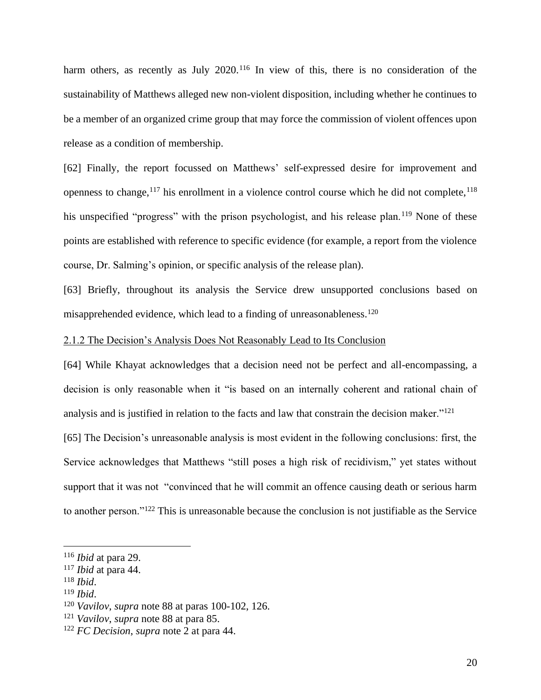harm others, as recently as July 2020.<sup>116</sup> In view of this, there is no consideration of the sustainability of Matthews alleged new non-violent disposition, including whether he continues to be a member of an organized crime group that may force the commission of violent offences upon release as a condition of membership.

[62] Finally, the report focussed on Matthews' self-expressed desire for improvement and openness to change,  $117$  his enrollment in a violence control course which he did not complete,  $118$ his unspecified "progress" with the prison psychologist, and his release plan.<sup>119</sup> None of these points are established with reference to specific evidence (for example, a report from the violence course, Dr. Salming's opinion, or specific analysis of the release plan).

[63] Briefly, throughout its analysis the Service drew unsupported conclusions based on misapprehended evidence, which lead to a finding of unreasonableness.<sup>120</sup>

### <span id="page-20-0"></span>2.1.2 The Decision's Analysis Does Not Reasonably Lead to Its Conclusion

[64] While Khayat acknowledges that a decision need not be perfect and all-encompassing, a decision is only reasonable when it "is based on an internally coherent and rational chain of analysis and is justified in relation to the facts and law that constrain the decision maker."<sup>121</sup>

[65] The Decision's unreasonable analysis is most evident in the following conclusions: first, the Service acknowledges that Matthews "still poses a high risk of recidivism," yet states without support that it was not "convinced that he will commit an offence causing death or serious harm to another person."<sup>122</sup> This is unreasonable because the conclusion is not justifiable as the Service

<sup>119</sup> *Ibid*.

<sup>116</sup> *Ibid* at para 29.

<sup>117</sup> *Ibid* at para 44.

<sup>118</sup> *Ibid*.

<sup>120</sup> *Vavilov*, *supra* note 88 at paras 100-102, 126.

<sup>121</sup> *Vavilov*, *supra* note 88 at para 85.

<sup>122</sup> *FC Decision*, *supra* note 2 at para 44.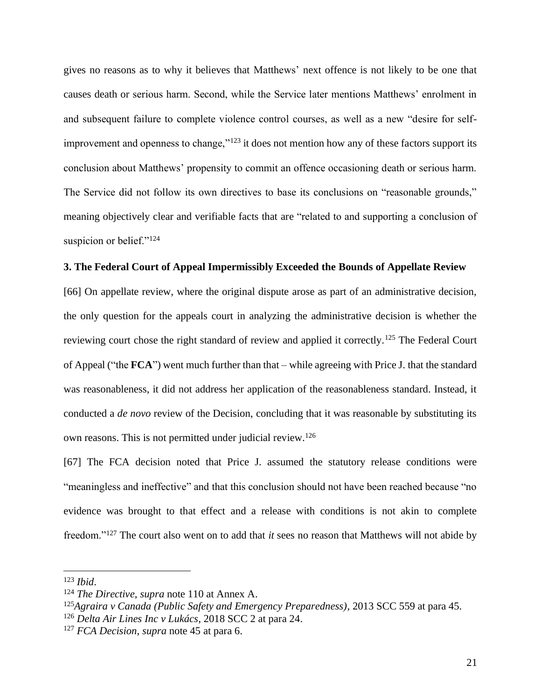gives no reasons as to why it believes that Matthews' next offence is not likely to be one that causes death or serious harm. Second, while the Service later mentions Matthews' enrolment in and subsequent failure to complete violence control courses, as well as a new "desire for selfimprovement and openness to change,"<sup>123</sup> it does not mention how any of these factors support its conclusion about Matthews' propensity to commit an offence occasioning death or serious harm. The Service did not follow its own directives to base its conclusions on "reasonable grounds," meaning objectively clear and verifiable facts that are "related to and supporting a conclusion of suspicion or belief."<sup>124</sup>

## <span id="page-21-0"></span>**3. The Federal Court of Appeal Impermissibly Exceeded the Bounds of Appellate Review**

[66] On appellate review, where the original dispute arose as part of an administrative decision, the only question for the appeals court in analyzing the administrative decision is whether the reviewing court chose the right standard of review and applied it correctly.<sup>125</sup> The Federal Court of Appeal ("the **FCA**") went much further than that – while agreeing with Price J. that the standard was reasonableness, it did not address her application of the reasonableness standard. Instead, it conducted a *de novo* review of the Decision, concluding that it was reasonable by substituting its own reasons. This is not permitted under judicial review.<sup>126</sup>

[67] The FCA decision noted that Price J. assumed the statutory release conditions were "meaningless and ineffective" and that this conclusion should not have been reached because "no evidence was brought to that effect and a release with conditions is not akin to complete freedom."<sup>127</sup> The court also went on to add that *it* sees no reason that Matthews will not abide by

<sup>123</sup> *Ibid*.

<sup>124</sup> *The Directive*, *supra* note 110 at Annex A.

<sup>125</sup>*Agraira v Canada (Public Safety and Emergency Preparedness)*, 2013 SCC 559 at para 45.

<sup>126</sup> *Delta Air Lines Inc v Lukács*, 2018 SCC 2 at para 24.

<sup>127</sup> *FCA Decision*, *supra* note 45 at para 6.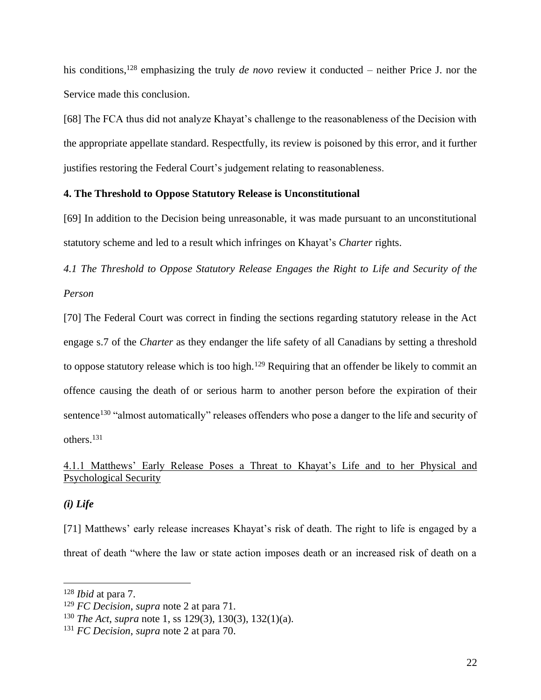his conditions,<sup>128</sup> emphasizing the truly *de novo* review it conducted – neither Price J. nor the Service made this conclusion.

[68] The FCA thus did not analyze Khayat's challenge to the reasonableness of the Decision with the appropriate appellate standard. Respectfully, its review is poisoned by this error, and it further justifies restoring the Federal Court's judgement relating to reasonableness.

## <span id="page-22-0"></span>**4. The Threshold to Oppose Statutory Release is Unconstitutional**

[69] In addition to the Decision being unreasonable, it was made pursuant to an unconstitutional statutory scheme and led to a result which infringes on Khayat's *Charter* rights.

<span id="page-22-1"></span>*4.1 The Threshold to Oppose Statutory Release Engages the Right to Life and Security of the Person*

[70] The Federal Court was correct in finding the sections regarding statutory release in the Act engage s.7 of the *Charter* as they endanger the life safety of all Canadians by setting a threshold to oppose statutory release which is too high.<sup>129</sup> Requiring that an offender be likely to commit an offence causing the death of or serious harm to another person before the expiration of their sentence<sup>130</sup> "almost automatically" releases offenders who pose a danger to the life and security of others.<sup>131</sup>

## <span id="page-22-2"></span>4.1.1 Matthews' Early Release Poses a Threat to Khayat's Life and to her Physical and Psychological Security

## <span id="page-22-3"></span>*(i) Life*

[71] Matthews' early release increases Khayat's risk of death. The right to life is engaged by a threat of death "where the law or state action imposes death or an increased risk of death on a

<sup>128</sup> *Ibid* at para 7.

<sup>129</sup> *FC Decision*, *supra* note 2 at para 71.

<sup>130</sup> *The Act*, *supra* note 1, ss 129(3), 130(3), 132(1)(a).

<sup>131</sup> *FC Decision*, *supra* note 2 at para 70.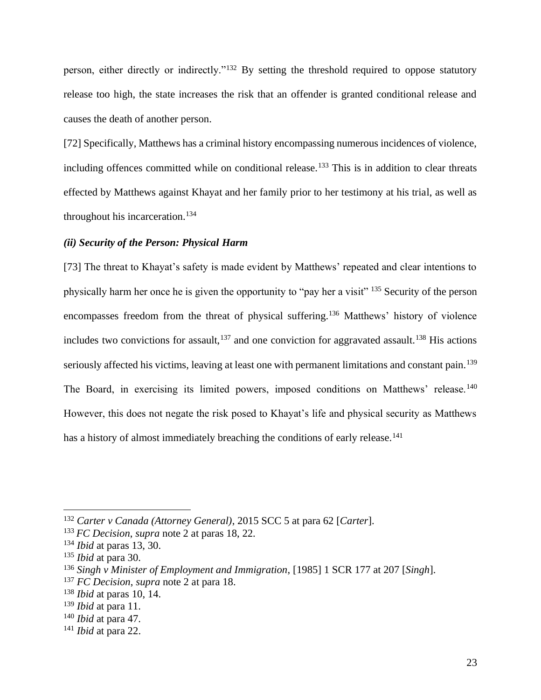person, either directly or indirectly."<sup>132</sup> By setting the threshold required to oppose statutory release too high, the state increases the risk that an offender is granted conditional release and causes the death of another person.

[72] Specifically, Matthews has a criminal history encompassing numerous incidences of violence, including offences committed while on conditional release.<sup>133</sup> This is in addition to clear threats effected by Matthews against Khayat and her family prior to her testimony at his trial, as well as throughout his incarceration.<sup>134</sup>

## <span id="page-23-0"></span>*(ii) Security of the Person: Physical Harm*

[73] The threat to Khayat's safety is made evident by Matthews' repeated and clear intentions to physically harm her once he is given the opportunity to "pay her a visit" <sup>135</sup> Security of the person encompasses freedom from the threat of physical suffering.<sup>136</sup> Matthews' history of violence includes two convictions for assault, $137$  and one conviction for aggravated assault.<sup>138</sup> His actions seriously affected his victims, leaving at least one with permanent limitations and constant pain.<sup>139</sup> The Board, in exercising its limited powers, imposed conditions on Matthews' release.<sup>140</sup> However, this does not negate the risk posed to Khayat's life and physical security as Matthews has a history of almost immediately breaching the conditions of early release.<sup>141</sup>

<sup>132</sup> *Carter v Canada (Attorney General)*, 2015 SCC 5 at para 62 [*Carter*].

<sup>133</sup> *FC Decision*, *supra* note 2 at paras 18, 22.

<sup>134</sup> *Ibid* at paras 13, 30.

<sup>135</sup> *Ibid* at para 30.

<sup>136</sup> *Singh v Minister of Employment and Immigration*, [1985] 1 SCR 177 at 207 [*Singh*].

<sup>137</sup> *FC Decision*, *supra* note 2 at para 18.

<sup>138</sup> *Ibid* at paras 10, 14.

<sup>139</sup> *Ibid* at para 11.

<sup>140</sup> *Ibid* at para 47.

<sup>141</sup> *Ibid* at para 22.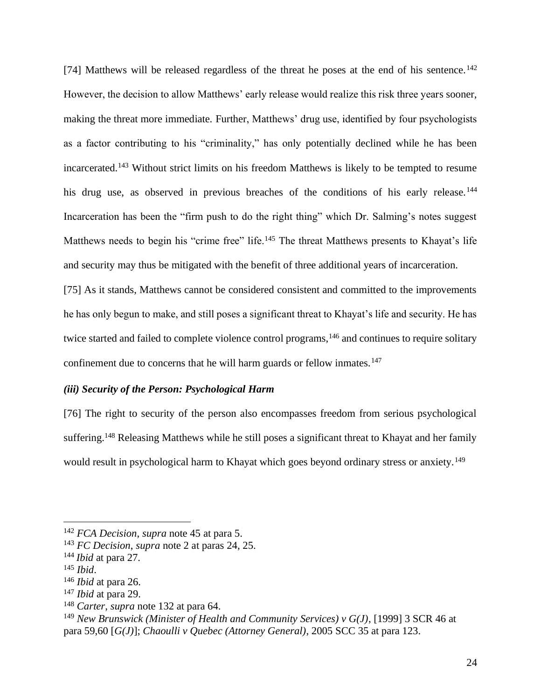[74] Matthews will be released regardless of the threat he poses at the end of his sentence.<sup>142</sup> However, the decision to allow Matthews' early release would realize this risk three years sooner, making the threat more immediate. Further, Matthews' drug use, identified by four psychologists as a factor contributing to his "criminality," has only potentially declined while he has been incarcerated.<sup>143</sup> Without strict limits on his freedom Matthews is likely to be tempted to resume his drug use, as observed in previous breaches of the conditions of his early release.<sup>144</sup> Incarceration has been the "firm push to do the right thing" which Dr. Salming's notes suggest Matthews needs to begin his "crime free" life.<sup>145</sup> The threat Matthews presents to Khayat's life and security may thus be mitigated with the benefit of three additional years of incarceration.

[75] As it stands, Matthews cannot be considered consistent and committed to the improvements he has only begun to make, and still poses a significant threat to Khayat's life and security. He has twice started and failed to complete violence control programs,<sup>146</sup> and continues to require solitary confinement due to concerns that he will harm guards or fellow inmates.<sup>147</sup>

## <span id="page-24-0"></span>*(iii) Security of the Person: Psychological Harm*

[76] The right to security of the person also encompasses freedom from serious psychological suffering.<sup>148</sup> Releasing Matthews while he still poses a significant threat to Khayat and her family would result in psychological harm to Khayat which goes beyond ordinary stress or anxiety.<sup>149</sup>

<sup>142</sup> *FCA Decision*, *supra* note 45 at para 5.

<sup>143</sup> *FC Decision*, *supra* note 2 at paras 24, 25.

<sup>144</sup> *Ibid* at para 27.

<sup>145</sup> *Ibid*.

<sup>146</sup> *Ibid* at para 26.

<sup>147</sup> *Ibid* at para 29.

<sup>148</sup> *Carter*, *supra* note 132 at para 64.

<sup>149</sup> *New Brunswick (Minister of Health and Community Services) v G(J)*, [1999] 3 SCR 46 at para 59,60 [*G(J)*]; *Chaoulli v Quebec (Attorney General)*, 2005 SCC 35 at para 123.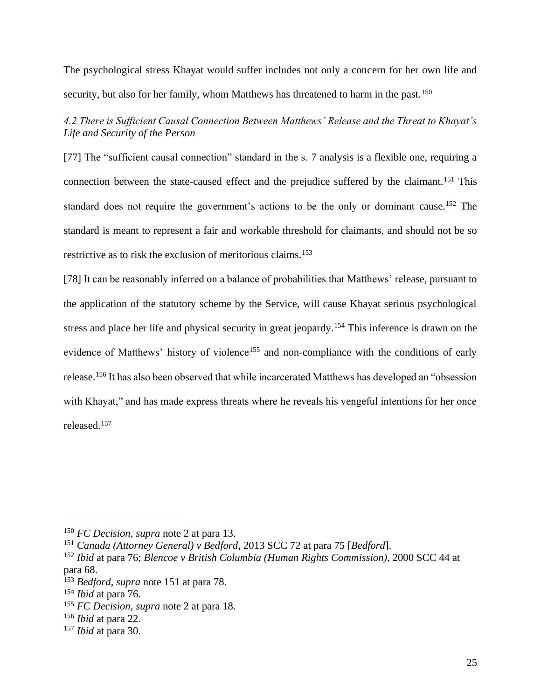The psychological stress Khayat would suffer includes not only a concern for her own life and security, but also for her family, whom Matthews has threatened to harm in the past.<sup>150</sup>

<span id="page-25-0"></span>*4.2 There is Sufficient Causal Connection Between Matthews' Release and the Threat to Khayat's Life and Security of the Person*

[77] The "sufficient causal connection" standard in the s. 7 analysis is a flexible one, requiring a connection between the state-caused effect and the prejudice suffered by the claimant.<sup>151</sup> This standard does not require the government's actions to be the only or dominant cause.<sup>152</sup> The standard is meant to represent a fair and workable threshold for claimants, and should not be so restrictive as to risk the exclusion of meritorious claims.<sup>153</sup>

[78] It can be reasonably inferred on a balance of probabilities that Matthews' release, pursuant to the application of the statutory scheme by the Service, will cause Khayat serious psychological stress and place her life and physical security in great jeopardy.<sup>154</sup> This inference is drawn on the evidence of Matthews' history of violence<sup>155</sup> and non-compliance with the conditions of early release.<sup>156</sup> It has also been observed that while incarcerated Matthews has developed an "obsession with Khayat," and has made express threats where he reveals his vengeful intentions for her once released.<sup>157</sup>

<sup>150</sup> *FC Decision*, *supra* note 2 at para 13.

<sup>151</sup> *Canada (Attorney General) v Bedford*, 2013 SCC 72 at para 75 [*Bedford*].

<sup>152</sup> *Ibid* at para 76; *Blencoe v British Columbia (Human Rights Commission)*, 2000 SCC 44 at para 68.

<sup>153</sup> *Bedford*, *supra* note 151 at para 78.

<sup>154</sup> *Ibid* at para 76.

<sup>155</sup> *FC Decision*, *supra* note 2 at para 18.

<sup>156</sup> *Ibid* at para 22.

<sup>157</sup> *Ibid* at para 30.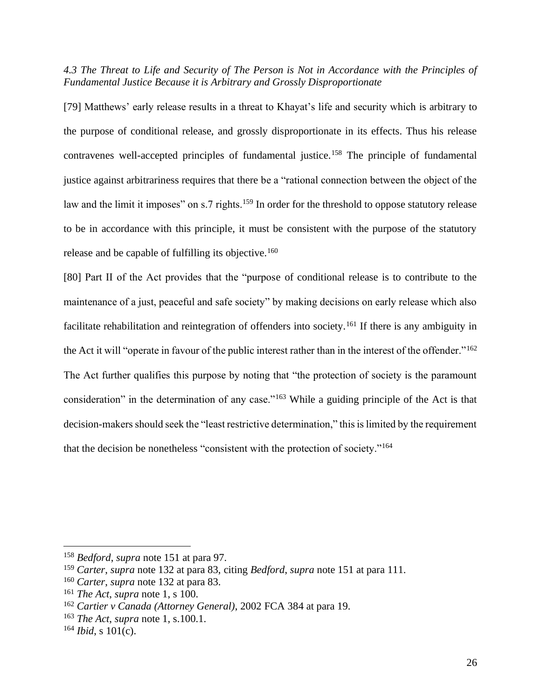<span id="page-26-0"></span>*4.3 The Threat to Life and Security of The Person is Not in Accordance with the Principles of Fundamental Justice Because it is Arbitrary and Grossly Disproportionate*

[79] Matthews' early release results in a threat to Khayat's life and security which is arbitrary to the purpose of conditional release, and grossly disproportionate in its effects. Thus his release contravenes well-accepted principles of fundamental justice.<sup>158</sup> The principle of fundamental justice against arbitrariness requires that there be a "rational connection between the object of the law and the limit it imposes" on s.7 rights.<sup>159</sup> In order for the threshold to oppose statutory release to be in accordance with this principle, it must be consistent with the purpose of the statutory release and be capable of fulfilling its objective.<sup>160</sup>

[80] Part II of the Act provides that the "purpose of conditional release is to contribute to the maintenance of a just, peaceful and safe society" by making decisions on early release which also facilitate rehabilitation and reintegration of offenders into society.<sup>161</sup> If there is any ambiguity in the Act it will "operate in favour of the public interest rather than in the interest of the offender."<sup>162</sup> The Act further qualifies this purpose by noting that "the protection of society is the paramount consideration" in the determination of any case."<sup>163</sup> While a guiding principle of the Act is that decision-makers should seek the "least restrictive determination," this is limited by the requirement that the decision be nonetheless "consistent with the protection of society."<sup>164</sup>

<sup>158</sup> *Bedford*, *supra* note 151 at para 97.

<sup>159</sup> *Carter*, *supra* note 132 at para 83, citing *Bedford*, *supra* note 151 at para 111.

<sup>160</sup> *Carter*, *supra* note 132 at para 83.

<sup>161</sup> *The Act*, *supra* note 1, s 100.

<sup>162</sup> *Cartier v Canada (Attorney General)*, 2002 FCA 384 at para 19.

<sup>163</sup> *The Act*, *supra* note 1, s.100.1.

<sup>164</sup> *Ibid*, s 101(c).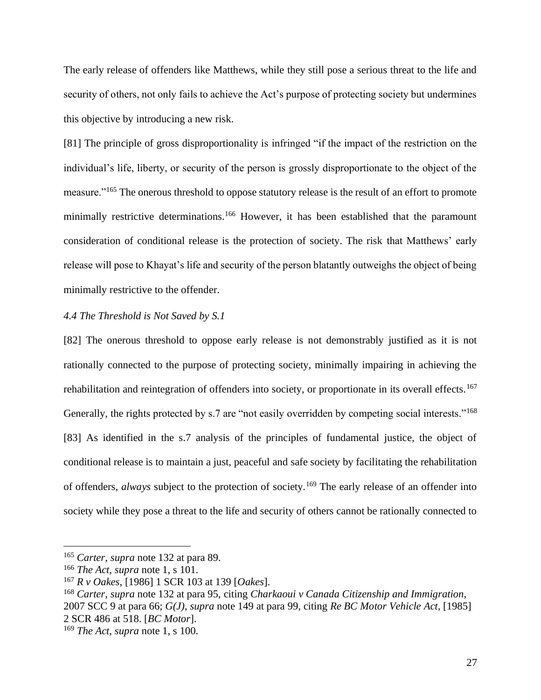The early release of offenders like Matthews, while they still pose a serious threat to the life and security of others, not only fails to achieve the Act's purpose of protecting society but undermines this objective by introducing a new risk.

[81] The principle of gross disproportionality is infringed "if the impact of the restriction on the individual's life, liberty, or security of the person is grossly disproportionate to the object of the measure."<sup>165</sup> The onerous threshold to oppose statutory release is the result of an effort to promote minimally restrictive determinations.<sup>166</sup> However, it has been established that the paramount consideration of conditional release is the protection of society. The risk that Matthews' early release will pose to Khayat's life and security of the person blatantly outweighs the object of being minimally restrictive to the offender.

## <span id="page-27-0"></span>*4.4 The Threshold is Not Saved by S.1*

[82] The onerous threshold to oppose early release is not demonstrably justified as it is not rationally connected to the purpose of protecting society, minimally impairing in achieving the rehabilitation and reintegration of offenders into society, or proportionate in its overall effects.<sup>167</sup> Generally, the rights protected by s.7 are "not easily overridden by competing social interests."<sup>168</sup> [83] As identified in the s.7 analysis of the principles of fundamental justice, the object of conditional release is to maintain a just, peaceful and safe society by facilitating the rehabilitation of offenders, *always* subject to the protection of society.<sup>169</sup> The early release of an offender into society while they pose a threat to the life and security of others cannot be rationally connected to

<sup>165</sup> *Carter*, *supra* note 132 at para 89.

<sup>166</sup> *The Act*, *supra* note 1, s 101.

<sup>167</sup> *R v Oakes*, [1986] 1 SCR 103 at 139 [*Oakes*].

<sup>168</sup> *Carter*, *supra* note 132 at para 95, citing *Charkaoui v Canada Citizenship and Immigration*, 2007 SCC 9 at para 66; *G(J)*, *supra* note 149 at para 99, citing *Re BC Motor Vehicle Act*, [1985] 2 SCR 486 at 518. [*BC Motor*].

<sup>169</sup> *The Act*, *supra* note 1, s 100.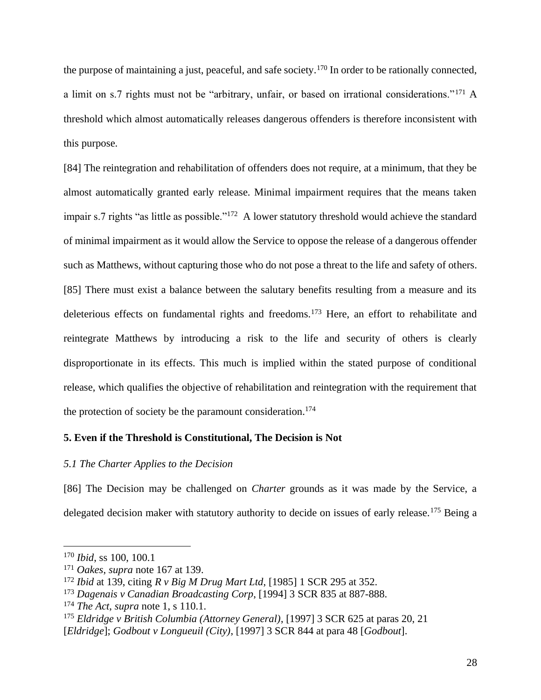the purpose of maintaining a just, peaceful, and safe society.<sup>170</sup> In order to be rationally connected, a limit on s.7 rights must not be "arbitrary, unfair, or based on irrational considerations."<sup>171</sup> A threshold which almost automatically releases dangerous offenders is therefore inconsistent with this purpose.

[84] The reintegration and rehabilitation of offenders does not require, at a minimum, that they be almost automatically granted early release. Minimal impairment requires that the means taken impair s.7 rights "as little as possible."<sup>172</sup> A lower statutory threshold would achieve the standard of minimal impairment as it would allow the Service to oppose the release of a dangerous offender such as Matthews, without capturing those who do not pose a threat to the life and safety of others. [85] There must exist a balance between the salutary benefits resulting from a measure and its deleterious effects on fundamental rights and freedoms.<sup>173</sup> Here, an effort to rehabilitate and reintegrate Matthews by introducing a risk to the life and security of others is clearly disproportionate in its effects. This much is implied within the stated purpose of conditional release, which qualifies the objective of rehabilitation and reintegration with the requirement that the protection of society be the paramount consideration.<sup>174</sup>

## <span id="page-28-0"></span>**5. Even if the Threshold is Constitutional, The Decision is Not**

## <span id="page-28-1"></span>*5.1 The Charter Applies to the Decision*

[86] The Decision may be challenged on *Charter* grounds as it was made by the Service, a delegated decision maker with statutory authority to decide on issues of early release.<sup>175</sup> Being a

<sup>170</sup> *Ibid*, ss 100, 100.1

<sup>171</sup> *Oakes*, *supra* note 167 at 139.

<sup>172</sup> *Ibid* at 139, citing *R v Big M Drug Mart Ltd*, [1985] 1 SCR 295 at 352.

<sup>173</sup> *Dagenais v Canadian Broadcasting Corp*, [1994] 3 SCR 835 at 887-888.

<sup>174</sup> *The Act*, *supra* note 1, s 110.1.

<sup>175</sup> *Eldridge v British Columbia (Attorney General)*, [1997] 3 SCR 625 at paras 20, 21

<sup>[</sup>*Eldridge*]; *Godbout v Longueuil (City)*, [1997] 3 SCR 844 at para 48 [*Godbout*].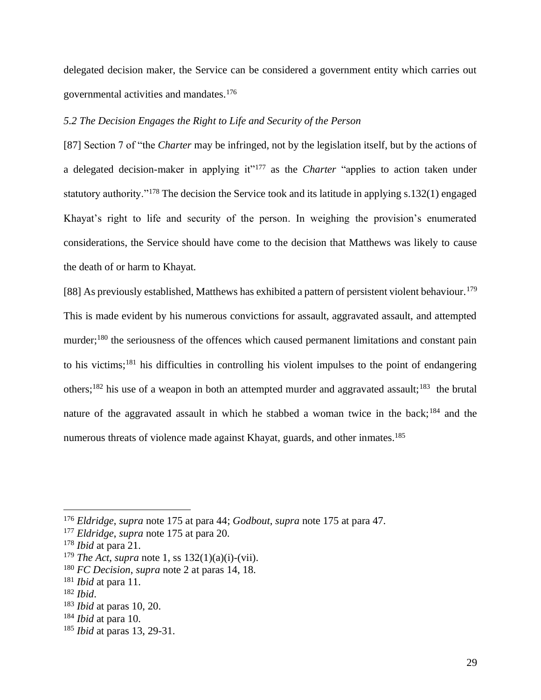delegated decision maker, the Service can be considered a government entity which carries out governmental activities and mandates.<sup>176</sup>

## <span id="page-29-0"></span>*5.2 The Decision Engages the Right to Life and Security of the Person*

[87] Section 7 of "the *Charter* may be infringed, not by the legislation itself, but by the actions of a delegated decision-maker in applying it"<sup>177</sup> as the *Charter* "applies to action taken under statutory authority."<sup>178</sup> The decision the Service took and its latitude in applying s.132(1) engaged Khayat's right to life and security of the person. In weighing the provision's enumerated considerations, the Service should have come to the decision that Matthews was likely to cause the death of or harm to Khayat.

[88] As previously established, Matthews has exhibited a pattern of persistent violent behaviour.<sup>179</sup> This is made evident by his numerous convictions for assault, aggravated assault, and attempted murder;<sup>180</sup> the seriousness of the offences which caused permanent limitations and constant pain to his victims;<sup>181</sup> his difficulties in controlling his violent impulses to the point of endangering others;<sup>182</sup> his use of a weapon in both an attempted murder and aggravated assault;<sup>183</sup> the brutal nature of the aggravated assault in which he stabbed a woman twice in the back;<sup>184</sup> and the numerous threats of violence made against Khayat, guards, and other inmates.<sup>185</sup>

<sup>176</sup> *Eldridge*, *supra* note 175 at para 44; *Godbout*, *supra* note 175 at para 47.

<sup>177</sup> *Eldridge*, *supra* note 175 at para 20.

<sup>178</sup> *Ibid* at para 21.

<sup>179</sup> *The Act*, *supra* note 1, ss 132(1)(a)(i)-(vii).

<sup>180</sup> *FC Decision*, *supra* note 2 at paras 14, 18.

<sup>181</sup> *Ibid* at para 11.

<sup>182</sup> *Ibid*.

<sup>183</sup> *Ibid* at paras 10, 20.

<sup>184</sup> *Ibid* at para 10.

<sup>185</sup> *Ibid* at paras 13, 29-31.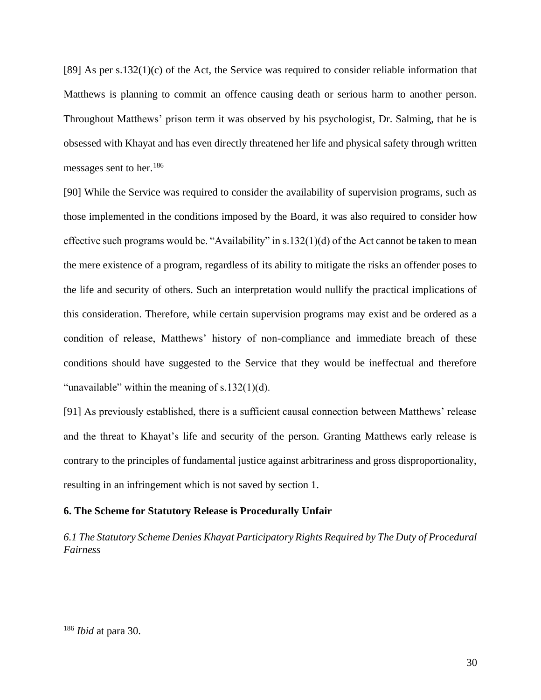[89] As per s.132(1)(c) of the Act, the Service was required to consider reliable information that Matthews is planning to commit an offence causing death or serious harm to another person. Throughout Matthews' prison term it was observed by his psychologist, Dr. Salming, that he is obsessed with Khayat and has even directly threatened her life and physical safety through written messages sent to her.<sup>186</sup>

[90] While the Service was required to consider the availability of supervision programs, such as those implemented in the conditions imposed by the Board, it was also required to consider how effective such programs would be. "Availability" in s.132(1)(d) of the Act cannot be taken to mean the mere existence of a program, regardless of its ability to mitigate the risks an offender poses to the life and security of others. Such an interpretation would nullify the practical implications of this consideration. Therefore, while certain supervision programs may exist and be ordered as a condition of release, Matthews' history of non-compliance and immediate breach of these conditions should have suggested to the Service that they would be ineffectual and therefore "unavailable" within the meaning of  $s.132(1)(d)$ .

[91] As previously established, there is a sufficient causal connection between Matthews' release and the threat to Khayat's life and security of the person. Granting Matthews early release is contrary to the principles of fundamental justice against arbitrariness and gross disproportionality, resulting in an infringement which is not saved by section 1.

## <span id="page-30-0"></span>**6. The Scheme for Statutory Release is Procedurally Unfair**

<span id="page-30-1"></span>*6.1 The Statutory Scheme Denies Khayat Participatory Rights Required by The Duty of Procedural Fairness*

<sup>186</sup> *Ibid* at para 30.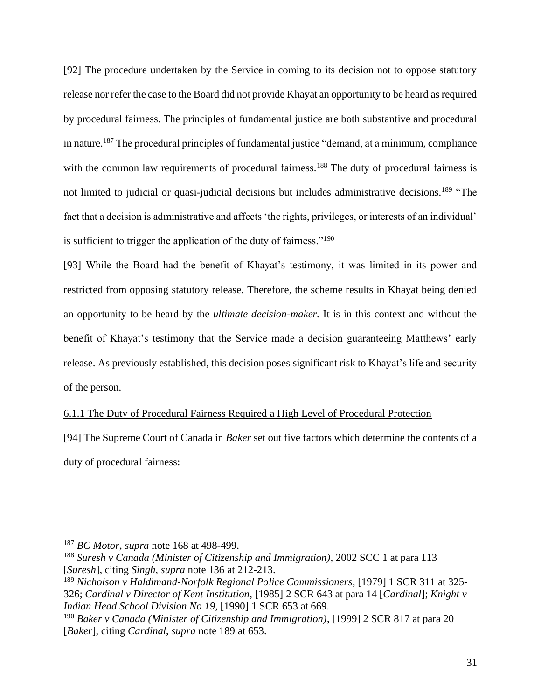[92] The procedure undertaken by the Service in coming to its decision not to oppose statutory release nor refer the case to the Board did not provide Khayat an opportunity to be heard as required by procedural fairness. The principles of fundamental justice are both substantive and procedural in nature.<sup>187</sup> The procedural principles of fundamental justice "demand, at a minimum, compliance with the common law requirements of procedural fairness.<sup>188</sup> The duty of procedural fairness is not limited to judicial or quasi-judicial decisions but includes administrative decisions.<sup>189</sup> "The fact that a decision is administrative and affects 'the rights, privileges, or interests of an individual' is sufficient to trigger the application of the duty of fairness."<sup>190</sup>

[93] While the Board had the benefit of Khayat's testimony, it was limited in its power and restricted from opposing statutory release. Therefore, the scheme results in Khayat being denied an opportunity to be heard by the *ultimate decision-maker.* It is in this context and without the benefit of Khayat's testimony that the Service made a decision guaranteeing Matthews' early release. As previously established, this decision poses significant risk to Khayat's life and security of the person.

## <span id="page-31-0"></span>6.1.1 The Duty of Procedural Fairness Required a High Level of Procedural Protection

[94] The Supreme Court of Canada in *Baker* set out five factors which determine the contents of a duty of procedural fairness:

<sup>187</sup> *BC Motor, supra* note 168 at 498-499.

<sup>188</sup> *Suresh v Canada (Minister of Citizenship and Immigration)*, 2002 SCC 1 at para 113 [*Suresh*], citing *Singh*, *supra* note 136 at 212-213.

<sup>189</sup> *Nicholson v Haldimand-Norfolk Regional Police Commissioners*, [1979] 1 SCR 311 at 325- 326; *Cardinal v Director of Kent Institution*, [1985] 2 SCR 643 at para 14 [*Cardinal*]; *Knight v Indian Head School Division No 19*, [1990] 1 SCR 653 at 669.

<sup>190</sup> *Baker v Canada (Minister of Citizenship and Immigration)*, [1999] 2 SCR 817 at para 20 [*Baker*], citing *Cardinal*, *supra* note 189 at 653.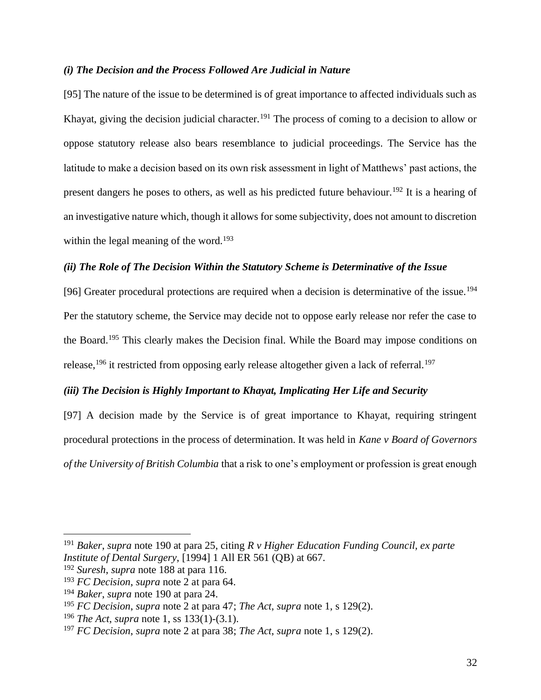### <span id="page-32-0"></span>*(i) The Decision and the Process Followed Are Judicial in Nature*

[95] The nature of the issue to be determined is of great importance to affected individuals such as Khayat, giving the decision judicial character.<sup>191</sup> The process of coming to a decision to allow or oppose statutory release also bears resemblance to judicial proceedings. The Service has the latitude to make a decision based on its own risk assessment in light of Matthews' past actions, the present dangers he poses to others, as well as his predicted future behaviour.<sup>192</sup> It is a hearing of an investigative nature which, though it allows for some subjectivity, does not amount to discretion within the legal meaning of the word.<sup>193</sup>

## <span id="page-32-1"></span>*(ii) The Role of The Decision Within the Statutory Scheme is Determinative of the Issue*

[96] Greater procedural protections are required when a decision is determinative of the issue.<sup>194</sup> Per the statutory scheme, the Service may decide not to oppose early release nor refer the case to the Board.<sup>195</sup> This clearly makes the Decision final. While the Board may impose conditions on release,<sup>196</sup> it restricted from opposing early release altogether given a lack of referral.<sup>197</sup>

# <span id="page-32-2"></span>*(iii) The Decision is Highly Important to Khayat, Implicating Her Life and Security*

[97] A decision made by the Service is of great importance to Khayat, requiring stringent procedural protections in the process of determination. It was held in *Kane v Board of Governors of the University of British Columbia* that a risk to one's employment or profession is great enough

<sup>191</sup> *Baker*, *supra* note 190 at para 25, citing *R v Higher Education Funding Council, ex parte Institute of Dental Surgery*, [1994] 1 All ER 561 (QB) at 667.

<sup>192</sup> *Suresh*, *supra* note 188 at para 116.

<sup>193</sup> *FC Decision*, *supra* note 2 at para 64.

<sup>194</sup> *Baker*, *supra* note 190 at para 24.

<sup>195</sup> *FC Decision*, *supra* note 2 at para 47; *The Act*, *supra* note 1, s 129(2).

<sup>196</sup> *The Act*, *supra* note 1, ss 133(1)-(3.1).

<sup>197</sup> *FC Decision*, *supra* note 2 at para 38; *The Act*, *supra* note 1, s 129(2).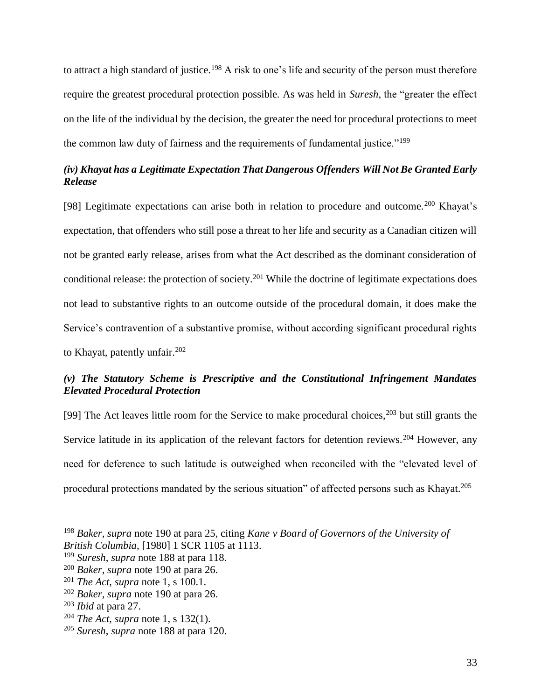to attract a high standard of justice.<sup>198</sup> A risk to one's life and security of the person must therefore require the greatest procedural protection possible. As was held in *Suresh*, the "greater the effect on the life of the individual by the decision, the greater the need for procedural protections to meet the common law duty of fairness and the requirements of fundamental justice."<sup>199</sup>

# <span id="page-33-0"></span>*(iv) Khayat has a Legitimate Expectation That Dangerous Offenders Will Not Be Granted Early Release*

[98] Legitimate expectations can arise both in relation to procedure and outcome.<sup>200</sup> Khayat's expectation, that offenders who still pose a threat to her life and security as a Canadian citizen will not be granted early release, arises from what the Act described as the dominant consideration of conditional release: the protection of society.<sup>201</sup> While the doctrine of legitimate expectations does not lead to substantive rights to an outcome outside of the procedural domain, it does make the Service's contravention of a substantive promise, without according significant procedural rights to Khayat, patently unfair.<sup>202</sup>

# <span id="page-33-1"></span>*(v) The Statutory Scheme is Prescriptive and the Constitutional Infringement Mandates Elevated Procedural Protection*

[99] The Act leaves little room for the Service to make procedural choices,  $203$  but still grants the Service latitude in its application of the relevant factors for detention reviews.<sup>204</sup> However, any need for deference to such latitude is outweighed when reconciled with the "elevated level of procedural protections mandated by the serious situation" of affected persons such as Khayat.<sup>205</sup>

<sup>198</sup> *Baker*, *supra* note 190 at para 25, citing *Kane v Board of Governors of the University of British Columbia*, [1980] 1 SCR 1105 at 1113.

<sup>199</sup> *Suresh*, *supra* note 188 at para 118.

<sup>200</sup> *Baker*, *supra* note 190 at para 26.

<sup>201</sup> *The Act*, *supra* note 1, s 100.1.

<sup>202</sup> *Baker*, *supra* note 190 at para 26.

<sup>203</sup> *Ibid* at para 27.

<sup>204</sup> *The Act*, *supra* note 1, s 132(1).

<sup>205</sup> *Suresh*, *supra* note 188 at para 120.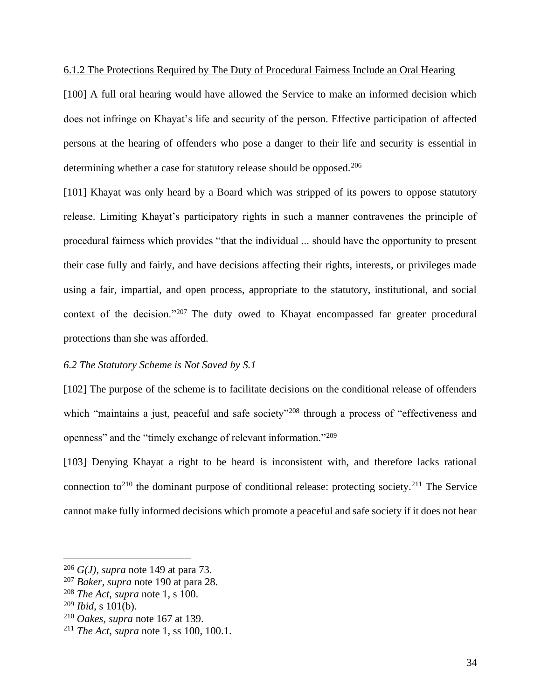## <span id="page-34-0"></span>6.1.2 The Protections Required by The Duty of Procedural Fairness Include an Oral Hearing

[100] A full oral hearing would have allowed the Service to make an informed decision which does not infringe on Khayat's life and security of the person. Effective participation of affected persons at the hearing of offenders who pose a danger to their life and security is essential in determining whether a case for statutory release should be opposed.<sup>206</sup>

[101] Khayat was only heard by a Board which was stripped of its powers to oppose statutory release. Limiting Khayat's participatory rights in such a manner contravenes the principle of procedural fairness which provides "that the individual ... should have the opportunity to present their case fully and fairly, and have decisions affecting their rights, interests, or privileges made using a fair, impartial, and open process, appropriate to the statutory, institutional, and social context of the decision."<sup>207</sup> The duty owed to Khayat encompassed far greater procedural protections than she was afforded.

## <span id="page-34-1"></span>*6.2 The Statutory Scheme is Not Saved by S.1*

[102] The purpose of the scheme is to facilitate decisions on the conditional release of offenders which "maintains a just, peaceful and safe society"<sup>208</sup> through a process of "effectiveness and openness" and the "timely exchange of relevant information."<sup>209</sup>

[103] Denying Khayat a right to be heard is inconsistent with, and therefore lacks rational connection to<sup>210</sup> the dominant purpose of conditional release: protecting society.<sup>211</sup> The Service cannot make fully informed decisions which promote a peaceful and safe society if it does not hear

<sup>206</sup> *G(J)*, *supra* note 149 at para 73.

<sup>207</sup> *Baker*, *supra* note 190 at para 28.

<sup>208</sup> *The Act*, *supra* note 1, s 100.

<sup>209</sup> *Ibid*, s 101(b).

<sup>210</sup> *Oakes*, *supra* note 167 at 139.

<sup>211</sup> *The Act*, *supra* note 1, ss 100, 100.1.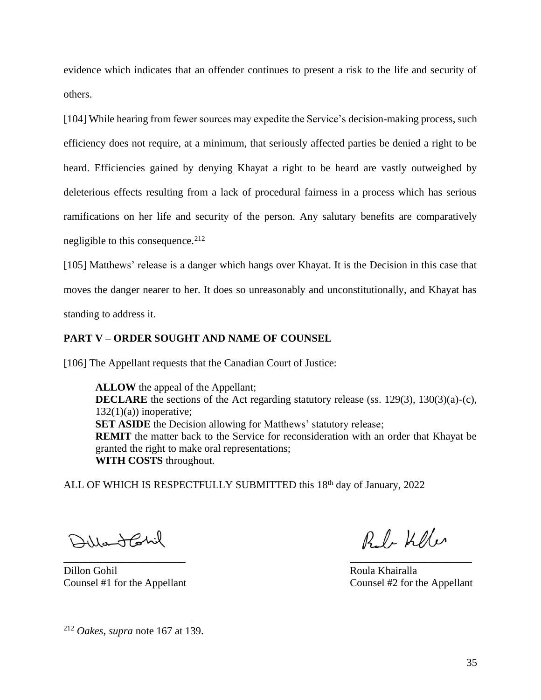evidence which indicates that an offender continues to present a risk to the life and security of others.

[104] While hearing from fewer sources may expedite the Service's decision-making process, such efficiency does not require, at a minimum, that seriously affected parties be denied a right to be heard. Efficiencies gained by denying Khayat a right to be heard are vastly outweighed by deleterious effects resulting from a lack of procedural fairness in a process which has serious ramifications on her life and security of the person. Any salutary benefits are comparatively negligible to this consequence.  $212$ 

[105] Matthews' release is a danger which hangs over Khayat. It is the Decision in this case that moves the danger nearer to her. It does so unreasonably and unconstitutionally, and Khayat has standing to address it.

## <span id="page-35-0"></span>**PART V – ORDER SOUGHT AND NAME OF COUNSEL**

[106] The Appellant requests that the Canadian Court of Justice:

**ALLOW** the appeal of the Appellant; **DECLARE** the sections of the Act regarding statutory release (ss. 129(3), 130(3)(a)-(c),  $132(1)(a)$  inoperative; **SET ASIDE** the Decision allowing for Matthews' statutory release; **REMIT** the matter back to the Service for reconsideration with an order that Khayat be granted the right to make oral representations; **WITH COSTS** throughout.

ALL OF WHICH IS RESPECTFULLY SUBMITTED this 18<sup>th</sup> day of January, 2022

**\_\_\_\_\_\_\_\_\_\_\_\_\_\_\_\_\_\_\_\_\_\_\_ \_\_\_\_\_\_\_\_\_\_\_\_\_\_\_\_\_\_\_\_\_\_\_**

Dillantahil

Dillon Gohil Roula Khairalla

Red-Keller

Counsel #1 for the Appellant Counsel #2 for the Appellant

<sup>212</sup> *Oakes*, *supra* note 167 at 139.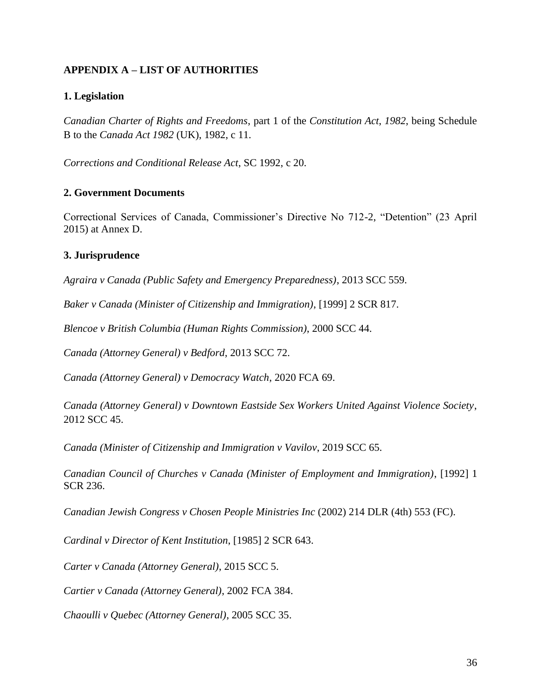# <span id="page-36-0"></span>**APPENDIX A – LIST OF AUTHORITIES**

# <span id="page-36-1"></span>**1. Legislation**

*Canadian Charter of Rights and Freedoms*, part 1 of the *Constitution Act*, *1982*, being Schedule B to the *Canada Act 1982* (UK), 1982, c 11.

*Corrections and Conditional Release Act*, SC 1992, c 20.

## <span id="page-36-2"></span>**2. Government Documents**

Correctional Services of Canada, Commissioner's Directive No 712-2, "Detention" (23 April 2015) at Annex D.

## <span id="page-36-3"></span>**3. Jurisprudence**

*Agraira v Canada (Public Safety and Emergency Preparedness)*, 2013 SCC 559.

*Baker v Canada (Minister of Citizenship and Immigration)*, [1999] 2 SCR 817.

*Blencoe v British Columbia (Human Rights Commission)*, 2000 SCC 44.

*Canada (Attorney General) v Bedford*, 2013 SCC 72.

*Canada (Attorney General) v Democracy Watch*, 2020 FCA 69.

*Canada (Attorney General) v Downtown Eastside Sex Workers United Against Violence Society*, 2012 SCC 45.

*Canada (Minister of Citizenship and Immigration v Vavilov*, 2019 SCC 65.

*Canadian Council of Churches v Canada (Minister of Employment and Immigration)*, [1992] 1 SCR 236.

*Canadian Jewish Congress v Chosen People Ministries Inc* (2002) 214 DLR (4th) 553 (FC).

*Cardinal v Director of Kent Institution*, [1985] 2 SCR 643.

*Carter v Canada (Attorney General)*, 2015 SCC 5.

*Cartier v Canada (Attorney General)*, 2002 FCA 384.

*Chaoulli v Quebec (Attorney General)*, 2005 SCC 35.